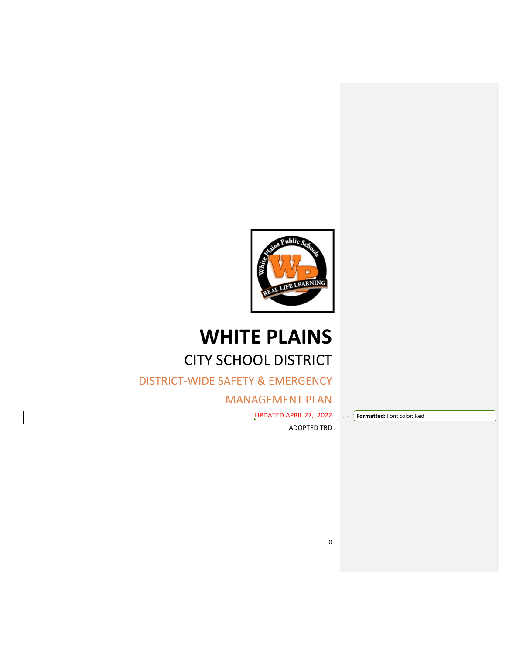

# **WHITE PLAINS** CITY SCHOOL DISTRICT

DISTRICT‐WIDE SAFETY & EMERGENCY

MANAGEMENT PLAN

UPDATED APRIL 27, 2022 ADOPTED TBD **Formatted:** Font color: Red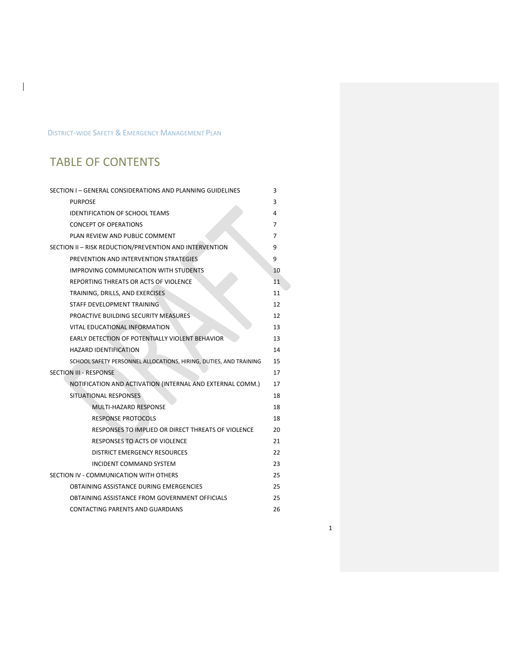## DISTRICT‐WIDE SAFETY & EMERGENCY MANAGEMENT PLAN

## TABLE OF CONTENTS

 $\mathbf{I}$ 

| SECTION I - GENERAL CONSIDERATIONS AND PLANNING GUIDELINES        | 3  |
|-------------------------------------------------------------------|----|
| <b>PURPOSE</b>                                                    | 3  |
| <b>IDENTIFICATION OF SCHOOL TEAMS</b>                             | 4  |
| <b>CONCEPT OF OPERATIONS</b>                                      | 7  |
| PLAN REVIEW AND PUBLIC COMMENT                                    | 7  |
| SECTION II - RISK REDUCTION/PREVENTION AND INTERVENTION           | 9  |
| PREVENTION AND INTERVENTION STRATEGIES                            | 9  |
| <b>IMPROVING COMMUNICATION WITH STUDENTS</b>                      | 10 |
| REPORTING THREATS OR ACTS OF VIOLENCE                             | 11 |
| TRAINING, DRILLS, AND EXERCISES                                   | 11 |
| STAFF DEVELOPMENT TRAINING                                        | 12 |
| PROACTIVE BUILDING SECURITY MEASURES                              | 12 |
| VITAL EDUCATIONAL INFORMATION                                     | 13 |
| <b>EARLY DETECTION OF POTENTIALLY VIOLENT BEHAVIOR</b>            | 13 |
| <b>HAZARD IDENTIFICATION</b>                                      | 14 |
| SCHOOL SAFETY PERSONNEL ALLOCATIONS, HIRING, DUTIES, AND TRAINING | 15 |
| <b>SECTION III - RESPONSE</b>                                     | 17 |
| NOTIFICATION AND ACTIVATION (INTERNAL AND EXTERNAL COMM.)         | 17 |
| SITUATIONAL RESPONSES                                             | 18 |
| MULTI-HAZARD RESPONSE                                             | 18 |
| <b>RESPONSE PROTOCOLS</b>                                         | 18 |
| RESPONSES TO IMPLIED OR DIRECT THREATS OF VIOLENCE                | 20 |
| <b>RESPONSES TO ACTS OF VIOLENCE</b>                              | 21 |
| <b>DISTRICT EMERGENCY RESOURCES</b>                               | 22 |
| <b>INCIDENT COMMAND SYSTEM</b>                                    | 23 |
| SECTION IV - COMMUNICATION WITH OTHERS                            | 25 |
| OBTAINING ASSISTANCE DURING EMERGENCIES                           | 25 |
| OBTAINING ASSISTANCE FROM GOVERNMENT OFFICIALS                    | 25 |
| CONTACTING PARENTS AND GUARDIANS                                  | 26 |

1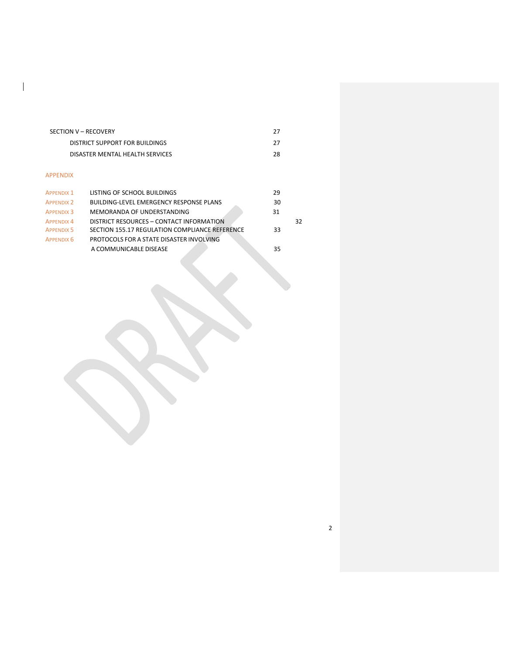| SECTION V - RECOVERY            | 27 |
|---------------------------------|----|
| DISTRICT SUPPORT FOR BUILDINGS  | 27 |
| DISASTER MENTAL HEALTH SERVICES | 28 |
|                                 |    |
| APPFNDIX                        |    |

 $\overline{\phantom{a}}$ 

| <b>APPENDIX 1</b> | LISTING OF SCHOOL BUILDINGS                    | 29 |    |
|-------------------|------------------------------------------------|----|----|
| <b>APPENDIX 2</b> | <b>BUILDING-LEVEL EMERGENCY RESPONSE PLANS</b> | 30 |    |
| <b>APPENDIX 3</b> | MEMORANDA OF UNDERSTANDING                     | 31 |    |
| <b>APPENDIX 4</b> | DISTRICT RESOURCES - CONTACT INFORMATION       |    | 32 |
| <b>APPENDIX 5</b> | SECTION 155.17 REGULATION COMPLIANCE REFERENCE | 33 |    |
| APPENDIX 6        | PROTOCOLS FOR A STATE DISASTER INVOLVING       |    |    |
|                   | A COMMUNICABLE DISEASE                         | 35 |    |

2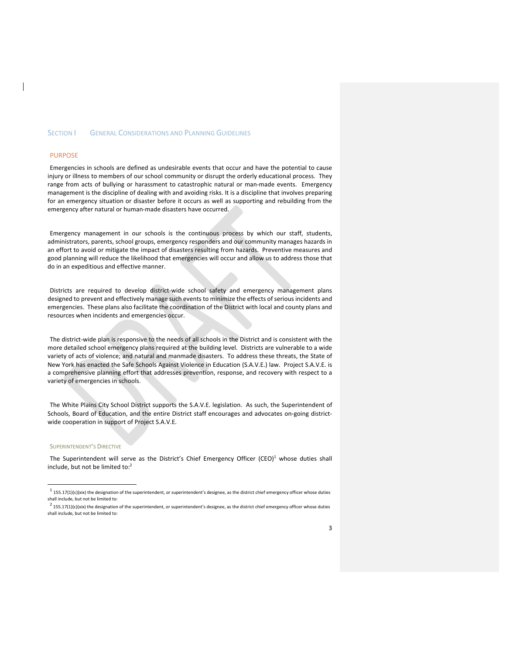#### SECTION **I** GENERAL CONSIDERATIONS AND PLANNING GUIDELINES

#### PURPOSE

Emergencies in schools are defined as undesirable events that occur and have the potential to cause injury or illness to members of our school community or disrupt the orderly educational process. They range from acts of bullying or harassment to catastrophic natural or man-made events. Emergency management is the discipline of dealing with and avoiding risks. It is a discipline that involves preparing for an emergency situation or disaster before it occurs as well as supporting and rebuilding from the emergency after natural or human-made disasters have occurred.

Emergency management in our schools is the continuous process by which our staff, students, administrators, parents, school groups, emergency responders and our community manages hazards in an effort to avoid or mitigate the impact of disasters resulting from hazards. Preventive measures and good planning will reduce the likelihood that emergencies will occur and allow us to address those that do in an expeditious and effective manner.

Districts are required to develop district‐wide school safety and emergency management plans designed to prevent and effectively manage such events to minimize the effects of serious incidents and emergencies. These plans also facilitate the coordination of the District with local and county plans and resources when incidents and emergencies occur.

The district-wide plan is responsive to the needs of all schools in the District and is consistent with the more detailed school emergency plans required at the building level. Districts are vulnerable to a wide variety of acts of violence; and natural and manmade disasters. To address these threats, the State of New York has enacted the Safe Schools Against Violence in Education (S.A.V.E.) law. Project S.A.V.E. is a comprehensive planning effort that addresses prevention, response, and recovery with respect to a variety of emergencies in schools.

The White Plains City School District supports the S.A.V.E. legislation. As such, the Superintendent of Schools, Board of Education, and the entire District staff encourages and advocates on-going districtwide cooperation in support of Project S.A.V.E.

#### SUPERINTENDENT'S DIRECTIVE

The Superintendent will serve as the District's Chief Emergency Officer (CEO) $<sup>1</sup>$  whose duties shall</sup> include, but not be limited to:<sup>2</sup>

 $1$  155.17(1)(c)(xix) the designation of the superintendent, or superintendent's designee, as the district chief emergency officer whose duties shall include, but not be limited to:

 $2$  155.17(1)(c)(xix) the designation of the superintendent, or superintendent's designee, as the district chief emergency officer whose duties shall include, but not be limited to: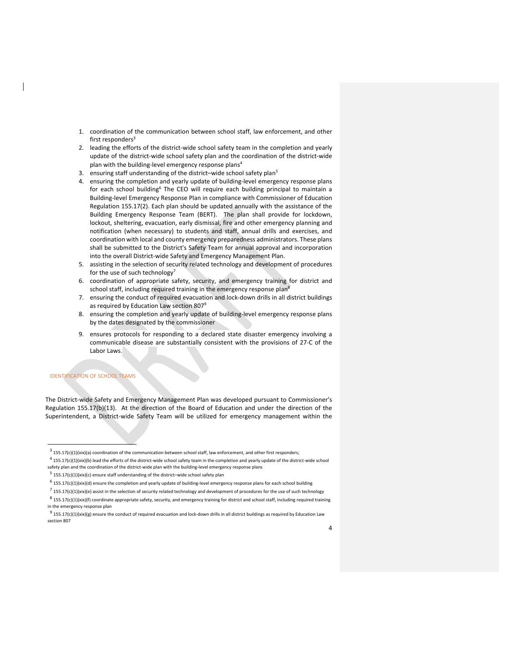- 1. coordination of the communication between school staff, law enforcement, and other first responders $3$
- 2. leading the efforts of the district-wide school safety team in the completion and yearly update of the district‐wide school safety plan and the coordination of the district‐wide plan with the building-level emergency response plans<sup>4</sup>
- 3. ensuring staff understanding of the district–wide school safety plan<sup>5</sup>
- 4. ensuring the completion and yearly update of building-level emergency response plans for each school building<sup>6</sup> The CEO will require each building principal to maintain a Building‐level Emergency Response Plan in compliance with Commissioner of Education Regulation 155.17(2). Each plan should be updated annually with the assistance of the Building Emergency Response Team (BERT). The plan shall provide for lockdown, lockout, sheltering, evacuation, early dismissal, fire and other emergency planning and notification (when necessary) to students and staff, annual drills and exercises, and coordination with local and county emergency preparedness administrators. These plans shall be submitted to the District's Safety Team for annual approval and incorporation into the overall District-wide Safety and Emergency Management Plan.
- 5. assisting in the selection of security related technology and development of procedures for the use of such technology<sup>7</sup>
- 6. coordination of appropriate safety, security, and emergency training for district and school staff, including required training in the emergency response plan<sup>8</sup>
- 7. ensuring the conduct of required evacuation and lock-down drills in all district buildings as required by Education Law section 807<sup>9</sup>
- 8. ensuring the completion and yearly update of building-level emergency response plans by the dates designated by the commissioner
- 9. ensures protocols for responding to a declared state disaster emergency involving a communicable disease are substantially consistent with the provisions of 27‐C of the Labor Laws.

#### IDENTIFICATION OF SCHOOL TEAMS

The District-wide Safety and Emergency Management Plan was developed pursuant to Commissioner's Regulation 155.17(b)(13). At the direction of the Board of Education and under the direction of the Superintendent, a District-wide Safety Team will be utilized for emergency management within the

 $3$  155.17(c)(1)(xix)(a) coordination of the communication between school staff, law enforcement, and other first responders;

 $4$  155.17(c)(1)(xix)(b) lead the efforts of the district-wide school safety team in the completion and yearly update of the district-wide school safety plan and the coordination of the district-wide plan with the building-level emergency response plans

 $5$  155.17(c)(1)(xix)(c) ensure staff understanding of the district-wide school safety plan

 $6$  155.17(c)(1)(xix)(d) ensure the completion and yearly update of building-level emergency response plans for each school building

 $^7$  155.17(c)(1)(xix)(e) assist in the selection of security related technology and development of procedures for the use of such technology

 $8$  155.17(c)(1)(xix)(f) coordinate appropriate safety, security, and emergency training for district and school staff, including required training in the emergency response plan

 $9$  155.17(c)(1)(xix)(g) ensure the conduct of required evacuation and lock-down drills in all district buildings as required by Education Law section 807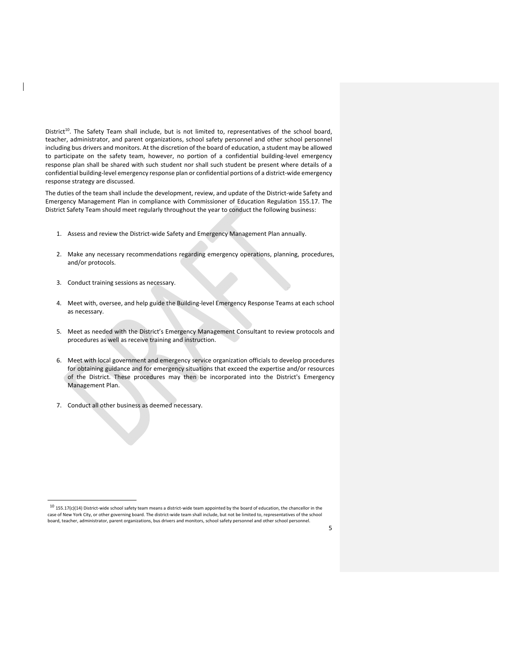District<sup>10</sup>. The Safety Team shall include, but is not limited to, representatives of the school board, teacher, administrator, and parent organizations, school safety personnel and other school personnel including bus drivers and monitors. At the discretion of the board of education, a student may be allowed to participate on the safety team, however, no portion of a confidential building‐level emergency response plan shall be shared with such student nor shall such student be present where details of a confidential building-level emergency response plan or confidential portions of a district-wide emergency response strategy are discussed.

The duties of the team shall include the development, review, and update of the District-wide Safety and Emergency Management Plan in compliance with Commissioner of Education Regulation 155.17. The District Safety Team should meet regularly throughout the year to conduct the following business:

- 1. Assess and review the District-wide Safety and Emergency Management Plan annually.
- 2. Make any necessary recommendations regarding emergency operations, planning, procedures, and/or protocols.
- 3. Conduct training sessions as necessary.
- 4. Meet with, oversee, and help guide the Building-level Emergency Response Teams at each school as necessary.
- 5. Meet as needed with the District's Emergency Management Consultant to review protocols and procedures as well as receive training and instruction.
- 6. Meet with local government and emergency service organization officials to develop procedures for obtaining guidance and for emergency situations that exceed the expertise and/or resources of the District. These procedures may then be incorporated into the District's Emergency Management Plan.
- 7. Conduct all other business as deemed necessary.

 $10$  155.17(c)(14) District-wide school safety team means a district-wide team appointed by the board of education, the chancellor in the case of New York City, or other governing board. The district‐wide team shall include, but not be limited to, representatives of the school board, teacher, administrator, parent organizations, bus drivers and monitors, school safety personnel and other school personnel.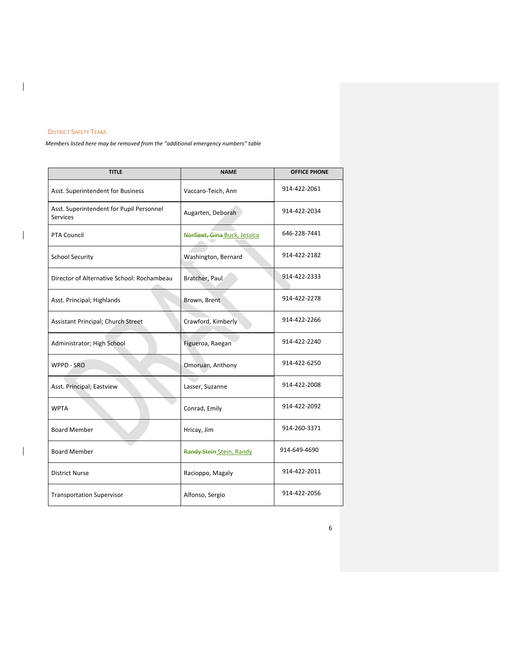## DISTRICT SAFETY TEAM:

 $\begin{array}{c} \hline \end{array}$ 

 $\mathbf{l}$ 

 $\overline{\phantom{a}}$ 

*Members listed here may be removed from the "additional emergency numbers" table*

| <b>TITLE</b>                                                | <b>NAME</b>                  | <b>OFFICE PHONE</b> |
|-------------------------------------------------------------|------------------------------|---------------------|
| Asst. Superintendent for Business                           | Vaccaro-Teich, Ann           | 914-422-2061        |
| Asst. Superintendent for Pupil Personnel<br><b>Services</b> | Augarten, Deborah            | 914-422-2034        |
| <b>PTA Council</b>                                          | Norfleet, Gina Buck, Jessica | 646-228-7441        |
| <b>School Security</b>                                      | Washington, Bernard          | 914-422-2182        |
| Director of Alternative School: Rochambeau                  | Bratcher, Paul               | 914-422-2333        |
| Asst. Principal; Highlands                                  | Brown, Brent                 | 914-422-2278        |
| Assistant Principal; Church Street                          | Crawford, Kimberly           | 914-422-2266        |
| Administrator; High School                                  | Figueroa, Raegan             | 914-422-2240        |
| WPPD - SRO                                                  | Omoruan, Anthony             | 914-422-6250        |
| Asst. Principal; Eastview                                   | Lasser, Suzanne              | 914-422-2008        |
| <b>WPTA</b>                                                 | Conrad, Emily                | 914-422-2092        |
| <b>Board Member</b>                                         | Hricay, Jim                  | 914-260-3371        |
| <b>Board Member</b>                                         | Randy Stein Stein, Randy     | 914-649-4690        |
| <b>District Nurse</b>                                       | Racioppo, Magaly             | 914-422-2011        |
| <b>Transportation Supervisor</b>                            | Alfonso, Sergio              | 914-422-2056        |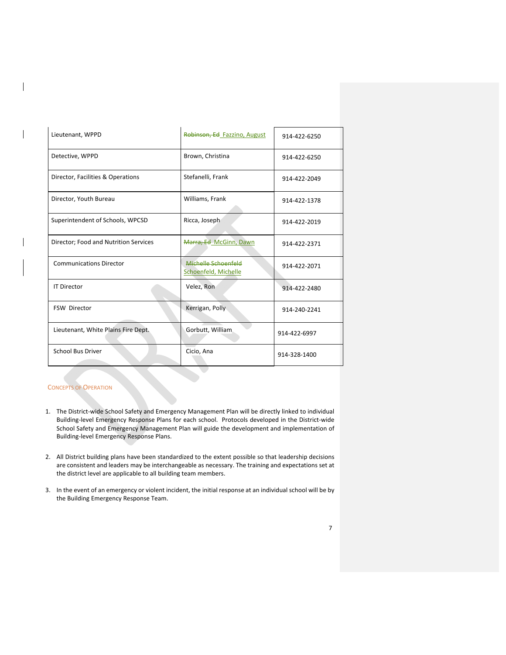| Lieutenant, WPPD                      | Robinson, Ed Fazzino, August                | 914-422-6250 |
|---------------------------------------|---------------------------------------------|--------------|
| Detective, WPPD                       | Brown, Christina                            | 914-422-6250 |
| Director, Facilities & Operations     | Stefanelli, Frank                           | 914-422-2049 |
| Director, Youth Bureau                | Williams, Frank                             | 914-422-1378 |
| Superintendent of Schools, WPCSD      | Ricca, Joseph                               | 914-422-2019 |
| Director; Food and Nutrition Services | Marra, Ed McGinn, Dawn                      | 914-422-2371 |
| <b>Communications Director</b>        | Michelle Schoenfeld<br>Schoenfeld, Michelle | 914-422-2071 |
| <b>IT Director</b>                    | Velez, Ron                                  | 914-422-2480 |
| <b>FSW Director</b>                   | Kerrigan, Polly                             | 914-240-2241 |
| Lieutenant, White Plains Fire Dept.   | Gorbutt, William                            | 914-422-6997 |
| <b>School Bus Driver</b>              | Cicio, Ana                                  | 914-328-1400 |

#### **CONCEPTS OF OPERATION**

- 1. The District-wide School Safety and Emergency Management Plan will be directly linked to individual Building‐level Emergency Response Plans for each school. Protocols developed in the District‐wide School Safety and Emergency Management Plan will guide the development and implementation of Building‐level Emergency Response Plans.
- 2. All District building plans have been standardized to the extent possible so that leadership decisions are consistent and leaders may be interchangeable as necessary. The training and expectations set at the district level are applicable to all building team members.
- 3. In the event of an emergency or violent incident, the initial response at an individual school will be by the Building Emergency Response Team.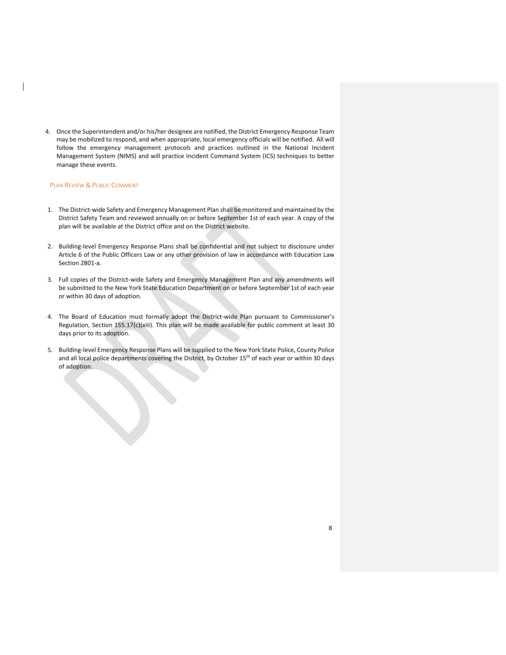4. Once the Superintendent and/or his/her designee are notified, the District Emergency Response Team may be mobilized to respond, and when appropriate, local emergency officials will be notified. All will follow the emergency management protocols and practices outlined in the National Incident Management System (NIMS) and will practice Incident Command System (ICS) techniques to better manage these events.

## PLAN REVIEW & PUBLIC COMMENT

and the contract of the contract of

- 1. The District‐wide Safety and Emergency Management Plan shall be monitored and maintained by the District Safety Team and reviewed annually on or before September 1st of each year. A copy of the plan will be available at the District office and on the District website.
- 2. Building-level Emergency Response Plans shall be confidential and not subject to disclosure under Article 6 of the Public Officers Law or any other provision of law in accordance with Education Law Section 2801‐a.
- 3. Full copies of the District-wide Safety and Emergency Management Plan and any amendments will be submitted to the New York State Education Department on or before September 1st of each year or within 30 days of adoption.
- 4. The Board of Education must formally adopt the District-wide Plan pursuant to Commissioner's Regulation, Section 155.17(c)(xiii). This plan will be made available for public comment at least 30 days prior to its adoption.
- 5. Building-level Emergency Response Plans will be supplied to the New York State Police, County Police and all local police departments covering the District, by October 15<sup>th</sup> of each year or within 30 days of adoption.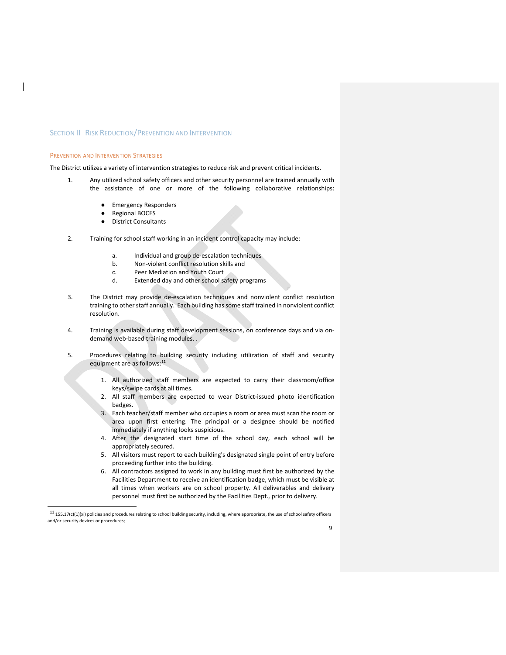#### SECTION II RISK REDUCTION/PREVENTION AND INTERVENTION

#### PREVENTION AND INTERVENTION STRATEGIES

The District utilizes a variety of intervention strategies to reduce risk and prevent critical incidents.

- 1. Any utilized school safety officers and other security personnel are trained annually with the assistance of one or more of the following collaborative relationships:
	- **Emergency Responders**
	- **Regional BOCES**
	- District Consultants
- 2. Training for school staff working in an incident control capacity may include:
	- a. Individual and group de‐escalation techniques
	- b. Non‐violent conflict resolution skills and
	- c. Peer Mediation and Youth Court
	- d. Extended day and other school safety programs
- 3. The District may provide de‐escalation techniques and nonviolent conflict resolution training to other staff annually. Each building has some staff trained in nonviolent conflict resolution.
- 4. Training is available during staff development sessions, on conference days and via on‐ demand web-based training modules...
- 5. Procedures relating to building security including utilization of staff and security equipment are as follows:<sup>11</sup>
	- 1. All authorized staff members are expected to carry their classroom/office keys/swipe cards at all times.
	- 2. All staff members are expected to wear District‐issued photo identification badges.
	- 3. Each teacher/staff member who occupies a room or area must scan the room or area upon first entering. The principal or a designee should be notified immediately if anything looks suspicious.
	- 4. After the designated start time of the school day, each school will be appropriately secured.
	- 5. All visitors must report to each building's designated single point of entry before proceeding further into the building.
	- 6. All contractors assigned to work in any building must first be authorized by the Facilities Department to receive an identification badge, which must be visible at all times when workers are on school property. All deliverables and delivery personnel must first be authorized by the Facilities Dept., prior to delivery.

 $11$  155.17(c)(1)(xi) policies and procedures relating to school building security, including, where appropriate, the use of school safety officers and/or security devices or procedures;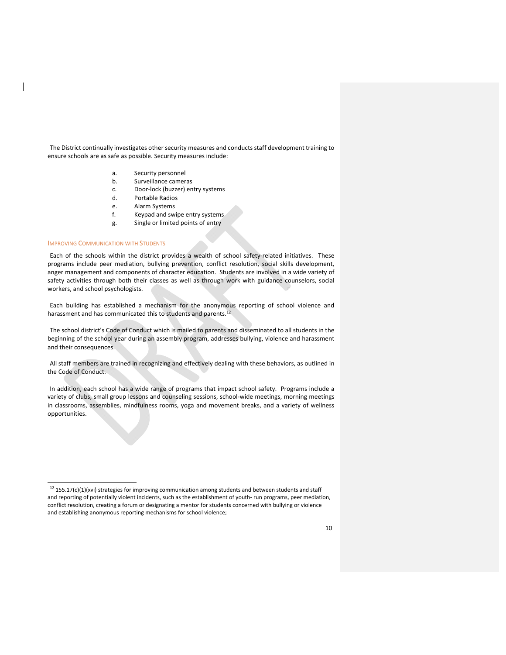The District continually investigates other security measures and conducts staff development training to ensure schools are as safe as possible. Security measures include:

- a. Security personnel
- b. Surveillance cameras
- c. Door‐lock (buzzer) entry systems
- d. Portable Radios
- e. Alarm Systems
- f. Keypad and swipe entry systems
- g. Single or limited points of entry

#### IMPROVING COMMUNICATION WITH STUDENTS

Each of the schools within the district provides a wealth of school safety-related initiatives. These programs include peer mediation, bullying prevention, conflict resolution, social skills development, anger management and components of character education. Students are involved in a wide variety of safety activities through both their classes as well as through work with guidance counselors, social workers, and school psychologists.

Each building has established a mechanism for the anonymous reporting of school violence and harassment and has communicated this to students and parents.<sup>12</sup>

The school district's Code of Conduct which is mailed to parents and disseminated to all students in the beginning of the school year during an assembly program, addresses bullying, violence and harassment and their consequences.

All staff members are trained in recognizing and effectively dealing with these behaviors, as outlined in the Code of Conduct.

In addition, each school has a wide range of programs that impact school safety. Programs include a variety of clubs, small group lessons and counseling sessions, school-wide meetings, morning meetings in classrooms, assemblies, mindfulness rooms, yoga and movement breaks, and a variety of wellness opportunities.

 $12$  155.17(c)(1)(xvi) strategies for improving communication among students and between students and staff and reporting of potentially violent incidents, such as the establishment of youth-run programs, peer mediation, conflict resolution, creating a forum or designating a mentor for students concerned with bullying or violence and establishing anonymous reporting mechanisms for school violence;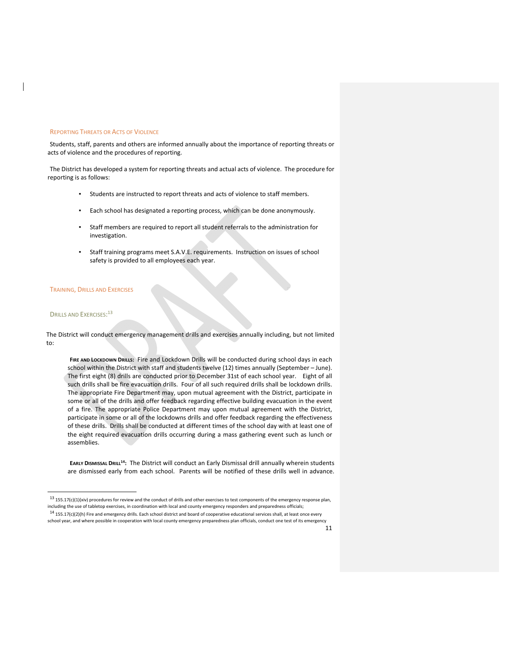#### REPORTING THREATS OR ACTS OF VIOLENCE

Students, staff, parents and others are informed annually about the importance of reporting threats or acts of violence and the procedures of reporting.

The District has developed a system for reporting threats and actual acts of violence. The procedure for reporting is as follows:

- Students are instructed to report threats and acts of violence to staff members.
- Each school has designated a reporting process, which can be done anonymously.
- Staff members are required to report all student referrals to the administration for investigation.
- Staff training programs meet S.A.V.E. requirements. Instruction on issues of school safety is provided to all employees each year.

#### TRAINING, DRILLS AND EXERCISES

#### DRILLS AND EXERCISES: 13

The District will conduct emergency management drills and exercises annually including, but not limited to:

**FIRE AND LOCKDOWN DRILLS:** Fire and Lockdown Drills will be conducted during school days in each school within the District with staff and students twelve (12) times annually (September – June). The first eight (8) drills are conducted prior to December 31st of each school year. Eight of all such drills shall be fire evacuation drills. Four of all such required drills shall be lockdown drills. The appropriate Fire Department may, upon mutual agreement with the District, participate in some or all of the drills and offer feedback regarding effective building evacuation in the event of a fire. The appropriate Police Department may upon mutual agreement with the District, participate in some or all of the lockdowns drills and offer feedback regarding the effectiveness of these drills. Drills shall be conducted at different times of the school day with at least one of the eight required evacuation drills occurring during a mass gathering event such as lunch or assemblies.

**EARLY DISMISSAL DRILL14:** The District will conduct an Early Dismissal drill annually wherein students are dismissed early from each school. Parents will be notified of these drills well in advance.

 $^{13}$  155.17(c)(1)(xiv) procedures for review and the conduct of drills and other exercises to test components of the emergency response plan, including the use of tabletop exercises, in coordination with local and county emergency responders and preparedness officials;

 $14$  155.17(c)(2)(h) Fire and emergency drills. Each school district and board of cooperative educational services shall, at least once every school year, and where possible in cooperation with local county emergency preparedness plan officials, conduct one test of its emergency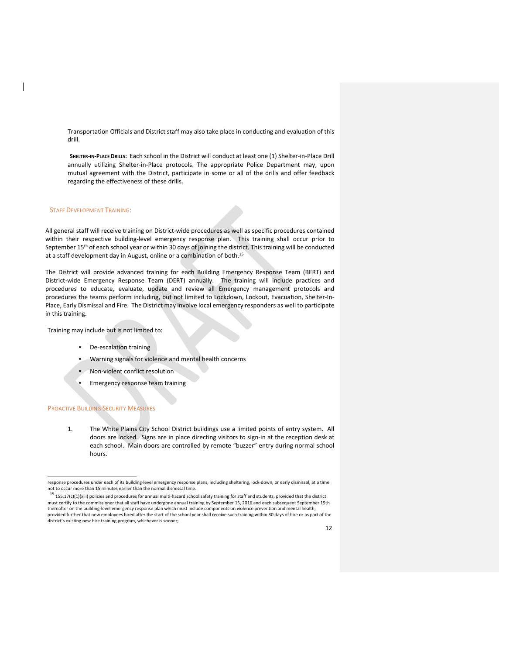Transportation Officials and District staff may also take place in conducting and evaluation of this drill.

**SHELTER‐IN‐PLACE DRILLS:** Each school in the District will conduct at least one (1) Shelter‐in‐Place Drill annually utilizing Shelter-in-Place protocols. The appropriate Police Department may, upon mutual agreement with the District, participate in some or all of the drills and offer feedback regarding the effectiveness of these drills.

#### STAFF DEVELOPMENT TRAINING:

All general staff will receive training on District‐wide procedures as well as specific procedures contained within their respective building-level emergency response plan. This training shall occur prior to September 15<sup>th</sup> of each school year or within 30 days of joining the district. This training will be conducted at a staff development day in August, online or a combination of both.<sup>15</sup>

The District will provide advanced training for each Building Emergency Response Team (BERT) and District‐wide Emergency Response Team (DERT) annually. The training will include practices and procedures to educate, evaluate, update and review all Emergency management protocols and procedures the teams perform including, but not limited to Lockdown, Lockout, Evacuation, Shelter-In-Place, Early Dismissal and Fire. The District may involve local emergency responders as well to participate in this training.

Training may include but is not limited to:

- De-escalation training
- Warning signals for violence and mental health concerns
- Non-violent conflict resolution
- Emergency response team training

#### PROACTIVE BUILDING SECURITY MEASURES

1. The White Plains City School District buildings use a limited points of entry system. All doors are locked. Signs are in place directing visitors to sign‐in at the reception desk at each school. Main doors are controlled by remote "buzzer" entry during normal school hours.

 $^{15}$  155.17(c)(1)(xiii) policies and procedures for annual multi-hazard school safety training for staff and students, provided that the district must certify to the commissioner that all staff have undergone annual training by September 15, 2016 and each subsequent September 15th thereafter on the building‐level emergency response plan which must include components on violence prevention and mental health, provided further that new employees hired after the start of the school year shall receive such training within 30 days of hire or as part of the district's existing new hire training program, whichever is sooner;

response procedures under each of its building‐level emergency response plans, including sheltering, lock‐down, or early dismissal, at a time not to occur more than 15 minutes earlier than the normal dismissal time.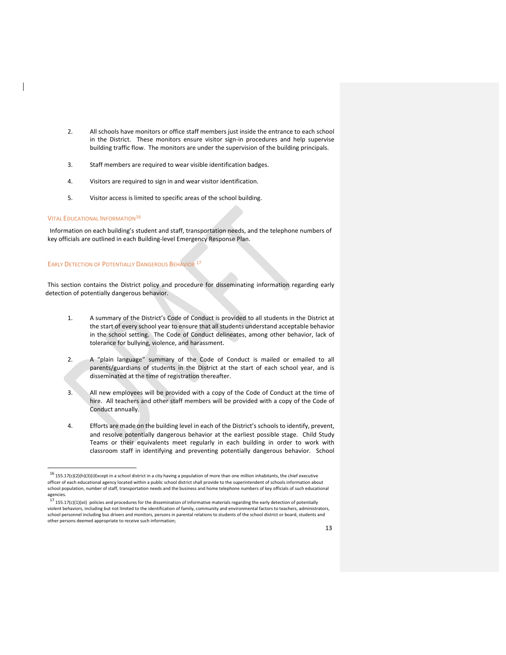- 2. All schools have monitors or office staff members just inside the entrance to each school in the District. These monitors ensure visitor sign-in procedures and help supervise building traffic flow. The monitors are under the supervision of the building principals.
- 3. Staff members are required to wear visible identification badges.
- 4. Visitors are required to sign in and wear visitor identification.
- 5. Visitor access is limited to specific areas of the school building.

#### **VITAL EDUCATIONAL INFORMATION<sup>16</sup>**

Information on each building's student and staff, transportation needs, and the telephone numbers of key officials are outlined in each Building‐level Emergency Response Plan.

#### EARLY DETECTION OF POTENTIALLY DANGEROUS BEHAVIOR<sup>17</sup>

This section contains the District policy and procedure for disseminating information regarding early detection of potentially dangerous behavior.

- 1. A summary of the District's Code of Conduct is provided to all students in the District at the start of every school year to ensure that all students understand acceptable behavior in the school setting. The Code of Conduct delineates, among other behavior, lack of tolerance for bullying, violence, and harassment.
- 2. A "plain language" summary of the Code of Conduct is mailed or emailed to all parents/guardians of students in the District at the start of each school year, and is disseminated at the time of registration thereafter.
- 3. All new employees will be provided with a copy of the Code of Conduct at the time of hire. All teachers and other staff members will be provided with a copy of the Code of Conduct annually.
- 4. Efforts are made on the building level in each of the District's schools to identify, prevent, and resolve potentially dangerous behavior at the earliest possible stage. Child Study Teams or their equivalents meet regularly in each building in order to work with classroom staff in identifying and preventing potentially dangerous behavior. School

 $16$  155.17(c)(2)(h)(3)(i)Except in a school district in a city having a population of more than one million inhabitants, the chief executive officer of each educational agency located within a public school district shall provide to the superintendent of schools information about school population, number of staff, transportation needs and the business and home telephone numbers of key officials of such educational agencies.<br><sup>17</sup> 155.17(c)(1)(xii) policies and procedures for the dissemination of informative materials regarding the early detection of potentially

violent behaviors, including but not limited to the identification of family, community and environmental factors to teachers, administrators, school personnel including bus drivers and monitors, persons in parental relations to students of the school district or board, students and other persons deemed appropriate to receive such information;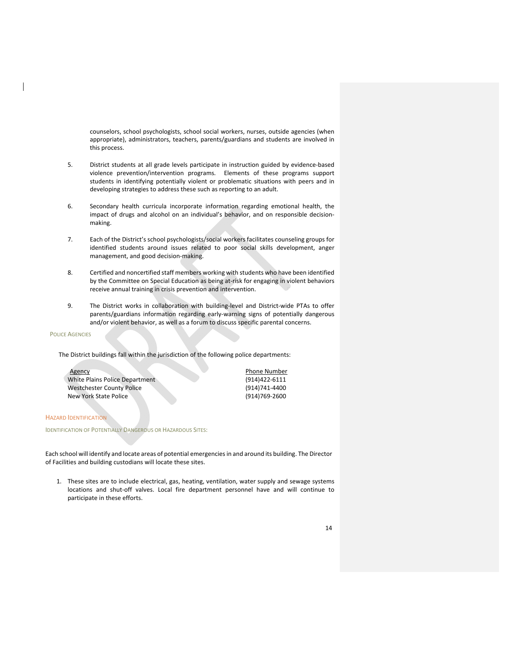counselors, school psychologists, school social workers, nurses, outside agencies (when appropriate), administrators, teachers, parents/guardians and students are involved in this process.

- 5. District students at all grade levels participate in instruction guided by evidence-based violence prevention/intervention programs*.*  Elements of these programs support students in identifying potentially violent or problematic situations with peers and in developing strategies to address these such as reporting to an adult.
- 6. Secondary health curricula incorporate information regarding emotional health, the impact of drugs and alcohol on an individual's behavior, and on responsible decisionmaking.
- 7. Each of the District's school psychologists/social workers facilitates counseling groups for identified students around issues related to poor social skills development, anger management, and good decision‐making.
- 8. Certified and noncertified staff members working with students who have been identified by the Committee on Special Education as being at‐risk for engaging in violent behaviors receive annual training in crisis prevention and intervention.
- 9. The District works in collaboration with building-level and District-wide PTAs to offer parents/guardians information regarding early‐warning signs of potentially dangerous and/or violent behavior, as well as a forum to discuss specific parental concerns.

#### POLICE AGENCIES

The District buildings fall within the jurisdiction of the following police departments:

| Agency                           | <b>Phone Number</b> |
|----------------------------------|---------------------|
| White Plains Police Department   | (914)422-6111       |
| <b>Westchester County Police</b> | (914)741-4400       |
| New York State Police            | (914)769-2600       |

#### HAZARD IDENTIFICATION

IDENTIFICATION OF POTENTIALLY DANGEROUS OR HAZARDOUS SITES:

Each school will identify and locate areas of potential emergenciesin and around its building. The Director of Facilities and building custodians will locate these sites.

1. These sites are to include electrical, gas, heating, ventilation, water supply and sewage systems locations and shut‐off valves. Local fire department personnel have and will continue to participate in these efforts.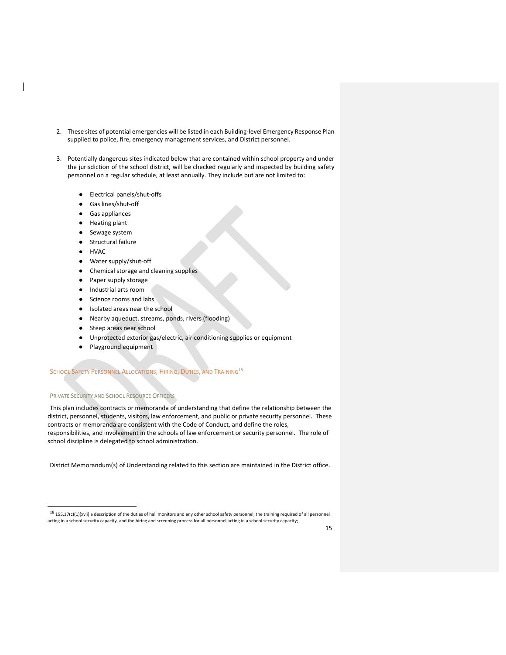- 2. These sites of potential emergencies will be listed in each Building-level Emergency Response Plan supplied to police, fire, emergency management services, and District personnel.
- 3. Potentially dangerous sites indicated below that are contained within school property and under the jurisdiction of the school district, will be checked regularly and inspected by building safety personnel on a regular schedule, at least annually. They include but are not limited to:
	- Electrical panels/shut-offs
	- Gas lines/shut-off
	- Gas appliances
	- Heating plant
	- Sewage system
	- Structural failure
	- HVAC
	- Water supply/shut-off
	- Chemical storage and cleaning supplies
	- Paper supply storage
	- Industrial arts room
	- Science rooms and labs
	- Isolated areas near the school
	- Nearby aqueduct, streams, ponds, rivers (flooding)
	- Steep areas near school
	- Unprotected exterior gas/electric, air conditioning supplies or equipment
	- Playground equipment

## SCHOOL SAFETY PERSONNEL ALLOCATIONS, HIRING, DUTIES, AND TRAINING<sup>18</sup>

## PRIVATE SECURITY AND SCHOOL RESOURCE OFFICERS

This plan includes contracts or memoranda of understanding that define the relationship between the district, personnel, students, visitors, law enforcement, and public or private security personnel. These contracts or memoranda are consistent with the Code of Conduct, and define the roles, responsibilities, and involvement in the schools of law enforcement or security personnel. The role of school discipline is delegated to school administration.

District Memorandum(s) of Understanding related to this section are maintained in the District office.

 $^{18}$  155.17(c)(1)(xvii) a description of the duties of hall monitors and any other school safety personnel, the training required of all personnel acting in a school security capacity, and the hiring and screening process for all personnel acting in a school security capacity;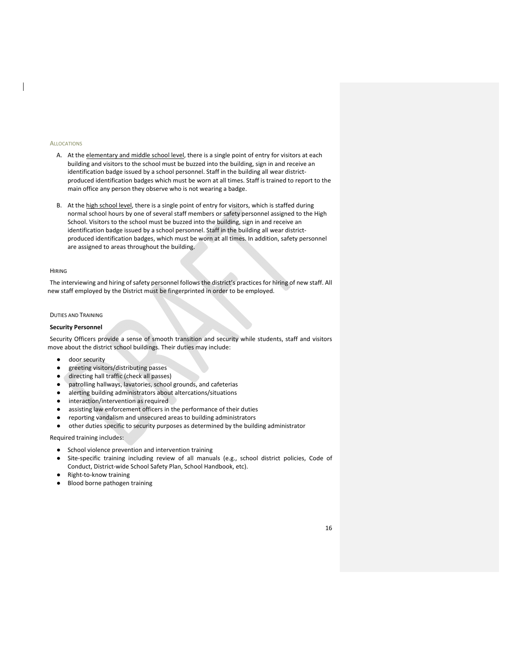#### ALLOCATIONS

- A. At the elementary and middle school level, there is a single point of entry for visitors at each building and visitors to the school must be buzzed into the building, sign in and receive an identification badge issued by a school personnel. Staff in the building all wear districtproduced identification badges which must be worn at all times. Staff is trained to report to the main office any person they observe who is not wearing a badge.
- B. At the high school level, there is a single point of entry for visitors, which is staffed during normal school hours by one of several staff members or safety personnel assigned to the High School. Visitors to the school must be buzzed into the building, sign in and receive an identification badge issued by a school personnel. Staff in the building all wear districtproduced identification badges, which must be worn at all times. In addition, safety personnel are assigned to areas throughout the building.

#### HIRING

The interviewing and hiring of safety personnel follows the district's practices for hiring of new staff. All new staff employed by the District must be fingerprinted in order to be employed.

#### DUTIES AND TRAINING

#### **Security Personnel**

Security Officers provide a sense of smooth transition and security while students, staff and visitors move about the district school buildings. Their duties may include:

- door security
- greeting visitors/distributing passes
- directing hall traffic (check all passes)
- patrolling hallways, lavatories, school grounds, and cafeterias
- alerting building administrators about altercations/situations
- interaction/intervention as required
- assisting law enforcement officers in the performance of their duties
- reporting vandalism and unsecured areas to building administrators
- other duties specific to security purposes as determined by the building administrator

Required training includes:

- School violence prevention and intervention training
- Site-specific training including review of all manuals (e.g., school district policies, Code of Conduct, District‐wide School Safety Plan, School Handbook, etc).
- Right-to-know training
- Blood borne pathogen training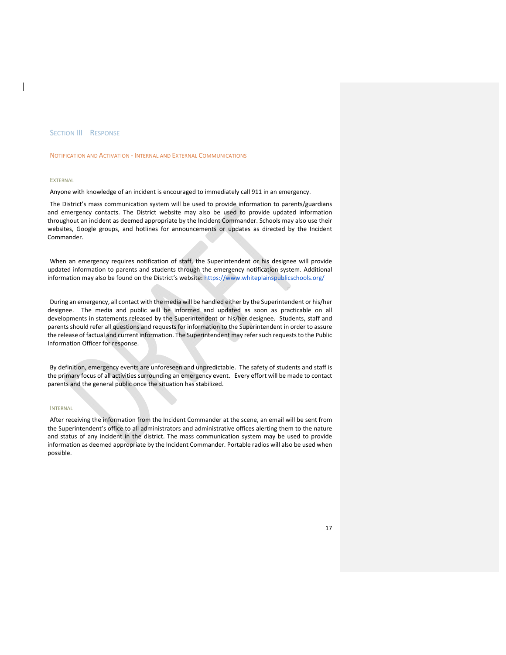#### **SECTION III RESPONSE**

#### NOTIFICATION AND ACTIVATION ‐ INTERNAL AND EXTERNAL COMMUNICATIONS

#### **EXTERNAL**

Anyone with knowledge of an incident is encouraged to immediately call 911 in an emergency.

The District's mass communication system will be used to provide information to parents/guardians and emergency contacts. The District website may also be used to provide updated information throughout an incident as deemed appropriate by the Incident Commander. Schools may also use their websites, Google groups, and hotlines for announcements or updates as directed by the Incident Commander.

When an emergency requires notification of staff, the Superintendent or his designee will provide updated information to parents and students through the emergency notification system. Additional information may also be found on the District's website: https://www.whiteplainspublicschools.org/

During an emergency, all contact with the media will be handled either by the Superintendent or his/her designee. The media and public will be informed and updated as soon as practicable on all developments in statements released by the Superintendent or his/her designee. Students, staff and parents should refer all questions and requests for information to the Superintendent in order to assure the release of factual and current information. The Superintendent may refer such requests to the Public Information Officer for response.

By definition, emergency events are unforeseen and unpredictable. The safety of students and staff is the primary focus of all activities surrounding an emergency event. Every effort will be made to contact parents and the general public once the situation has stabilized.

#### INTERNAL

After receiving the information from the Incident Commander at the scene, an email will be sent from the Superintendent's office to all administrators and administrative offices alerting them to the nature and status of any incident in the district. The mass communication system may be used to provide information as deemed appropriate by the Incident Commander. Portable radios will also be used when possible.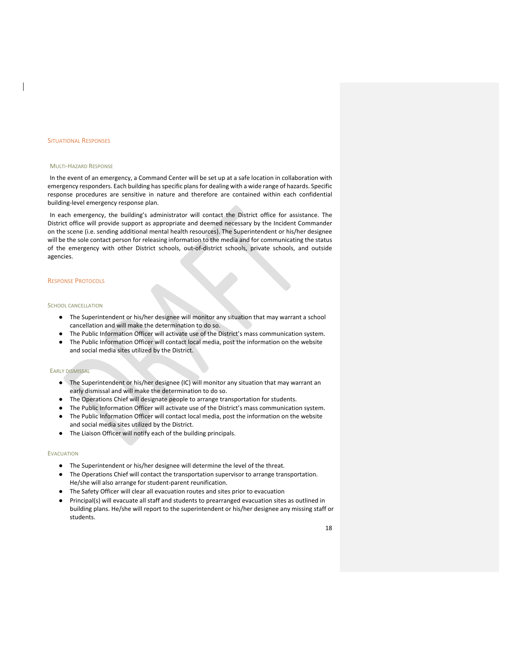#### SITUATIONAL RESPONSES

#### MULTI‐HAZARD RESPONSE

In the event of an emergency, a Command Center will be set up at a safe location in collaboration with emergency responders. Each building has specific plans for dealing with a wide range of hazards. Specific response procedures are sensitive in nature and therefore are contained within each confidential building‐level emergency response plan.

In each emergency, the building's administrator will contact the District office for assistance. The District office will provide support as appropriate and deemed necessary by the Incident Commander on the scene (i.e. sending additional mental health resources). The Superintendent or his/her designee will be the sole contact person for releasing information to the media and for communicating the status of the emergency with other District schools, out‐of‐district schools, private schools, and outside agencies.

#### RESPONSE PROTOCOLS

#### SCHOOL CANCELLATION

- The Superintendent or his/her designee will monitor any situation that may warrant a school cancellation and will make the determination to do so.
- The Public Information Officer will activate use of the District's mass communication system.
- The Public Information Officer will contact local media, post the information on the website and social media sites utilized by the District.

#### EARLY DISMISSAL

- The Superintendent or his/her designee (IC) will monitor any situation that may warrant an early dismissal and will make the determination to do so.
- The Operations Chief will designate people to arrange transportation for students.
- The Public Information Officer will activate use of the District's mass communication system.
- The Public Information Officer will contact local media, post the information on the website and social media sites utilized by the District.
- The Liaison Officer will notify each of the building principals.

#### **EVACUATION**

- The Superintendent or his/her designee will determine the level of the threat.
- The Operations Chief will contact the transportation supervisor to arrange transportation. He/she will also arrange for student‐parent reunification.
- The Safety Officer will clear all evacuation routes and sites prior to evacuation
- Principal(s) will evacuate all staff and students to prearranged evacuation sites as outlined in building plans. He/she will report to the superintendent or his/her designee any missing staff or students.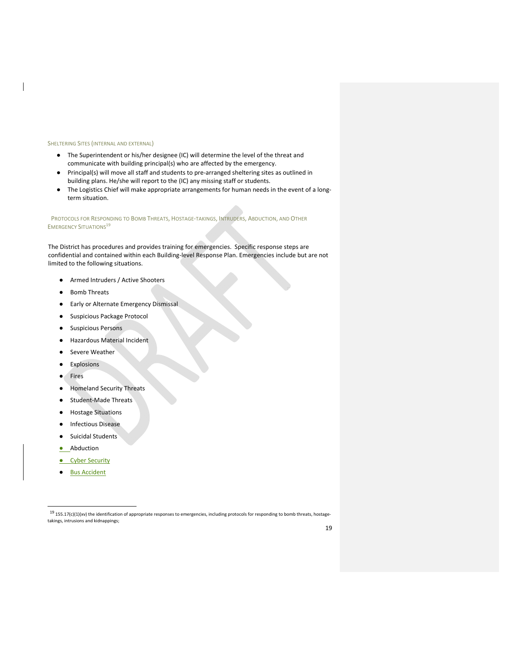#### SHELTERING SITES (INTERNAL AND EXTERNAL)

- The Superintendent or his/her designee (IC) will determine the level of the threat and communicate with building principal(s) who are affected by the emergency.
- Principal(s) will move all staff and students to pre-arranged sheltering sites as outlined in building plans. He/she will report to the (IC) any missing staff or students.
- The Logistics Chief will make appropriate arrangements for human needs in the event of a longterm situation.

#### PROTOCOLS FOR RESPONDING TO BOMB THREATS, HOSTAGE‐TAKINGS, INTRUDERS, ABDUCTION, AND OTHER **EMERGENCY SITUATIONS**<sup>19</sup>

The District has procedures and provides training for emergencies. Specific response steps are confidential and contained within each Building‐level Response Plan. Emergencies include but are not limited to the following situations.

- Armed Intruders / Active Shooters
- **Bomb Threats**
- Early or Alternate Emergency Dismissal
- Suspicious Package Protocol
- Suspicious Persons
- Hazardous Material Incident
- Severe Weather
- **Explosions**
- **Fires**
- **Homeland Security Threats**
- Student-Made Threats
- **Hostage Situations**
- **Infectious Disease**
- Suicidal Students
- Abduction
- **Cyber Security**
- **Bus Accident**

 $19$  155.17(c)(1)(xv) the identification of appropriate responses to emergencies, including protocols for responding to bomb threats, hostagetakings, intrusions and kidnappings;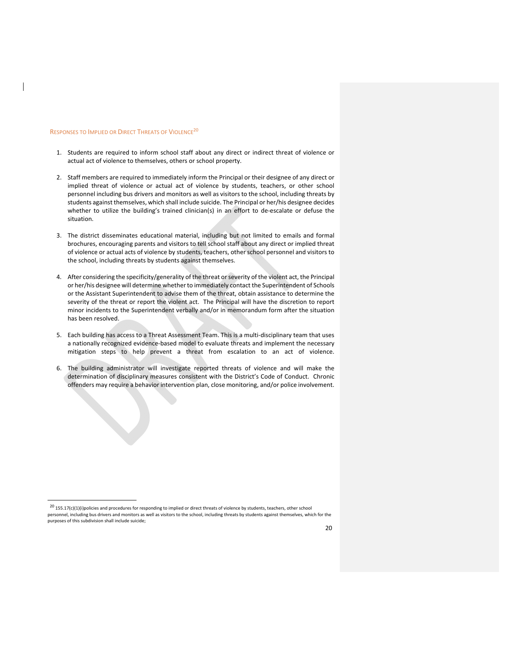#### RESPONSES TO IMPLIED OR DIRECT THREATS OF VIOLENCE20

and the state of the state of the

- 1. Students are required to inform school staff about any direct or indirect threat of violence or actual act of violence to themselves, others or school property.
- 2. Staff members are required to immediately inform the Principal or their designee of any direct or implied threat of violence or actual act of violence by students, teachers, or other school personnel including bus drivers and monitors as well as visitors to the school, including threats by students against themselves, which shall include suicide. The Principal or her/his designee decides whether to utilize the building's trained clinician(s) in an effort to de-escalate or defuse the situation.
- 3. The district disseminates educational material, including but not limited to emails and formal brochures, encouraging parents and visitors to tell school staff about any direct or implied threat of violence or actual acts of violence by students, teachers, other school personnel and visitors to the school, including threats by students against themselves.
- 4. After considering the specificity/generality of the threat orseverity of the violent act, the Principal or her/his designee will determine whether to immediately contact the Superintendent of Schools or the Assistant Superintendent to advise them of the threat, obtain assistance to determine the severity of the threat or report the violent act. The Principal will have the discretion to report minor incidents to the Superintendent verbally and/or in memorandum form after the situation has been resolved.
- 5. Each building has access to a Threat Assessment Team. This is a multi-disciplinary team that uses a nationally recognized evidence‐based model to evaluate threats and implement the necessary mitigation steps to help prevent a threat from escalation to an act of violence.
- 6. The building administrator will investigate reported threats of violence and will make the determination of disciplinary measures consistent with the District's Code of Conduct. Chronic offenders may require a behavior intervention plan, close monitoring, and/or police involvement.

 $^{20}$  155.17(c)(1)(i)policies and procedures for responding to implied or direct threats of violence by students, teachers, other school personnel, including bus drivers and monitors as well as visitors to the school, including threats by students against themselves, which for the purposes of this subdivision shall include suicide;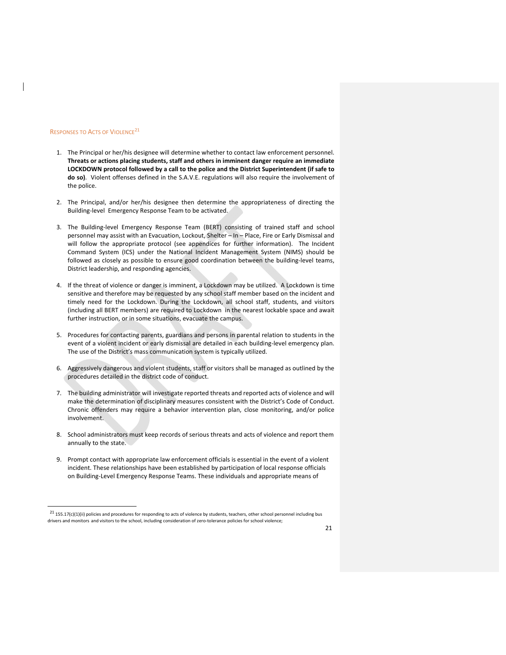#### RESPONSES TO ACTS OF VIOLENCE21

- 1. The Principal or her/his designee will determine whether to contact law enforcement personnel. **Threats or actions placing students, staff and others in imminent danger require an immediate LOCKDOWN protocol followed by a call to the police and the District Superintendent (if safe to do so)**. Violent offenses defined in the S.A.V.E. regulations will also require the involvement of the police.
- 2. The Principal, and/or her/his designee then determine the appropriateness of directing the Building‐level Emergency Response Team to be activated.
- 3. The Building‐level Emergency Response Team (BERT) consisting of trained staff and school personnel may assist with an Evacuation, Lockout, Shelter – In – Place, Fire or Early Dismissal and will follow the appropriate protocol (see appendices for further information). The Incident Command System (ICS) under the National Incident Management System (NIMS) should be followed as closely as possible to ensure good coordination between the building-level teams, District leadership, and responding agencies.
- 4. If the threat of violence or danger is imminent, a Lockdown may be utilized. A Lockdown is time sensitive and therefore may be requested by any school staff member based on the incident and timely need for the Lockdown. During the Lockdown, all school staff, students, and visitors (including all BERT members) are required to Lockdown in the nearest lockable space and await further instruction, or in some situations, evacuate the campus.
- 5. Procedures for contacting parents, guardians and persons in parental relation to students in the event of a violent incident or early dismissal are detailed in each building-level emergency plan. The use of the District's mass communication system is typically utilized.
- 6. Aggressively dangerous and violent students, staff or visitors shall be managed as outlined by the procedures detailed in the district code of conduct.
- 7. The building administrator will investigate reported threats and reported acts of violence and will make the determination of disciplinary measures consistent with the District's Code of Conduct. Chronic offenders may require a behavior intervention plan, close monitoring, and/or police involvement.
- 8. School administrators must keep records of serious threats and acts of violence and report them annually to the state.
- 9. Prompt contact with appropriate law enforcement officials is essential in the event of a violent incident. These relationships have been established by participation of local response officials on Building‐Level Emergency Response Teams. These individuals and appropriate means of

 $^{21}$  155.17(c)(1)(ii) policies and procedures for responding to acts of violence by students, teachers, other school personnel including bus drivers and monitors and visitors to the school, including consideration of zero-tolerance policies for school violence;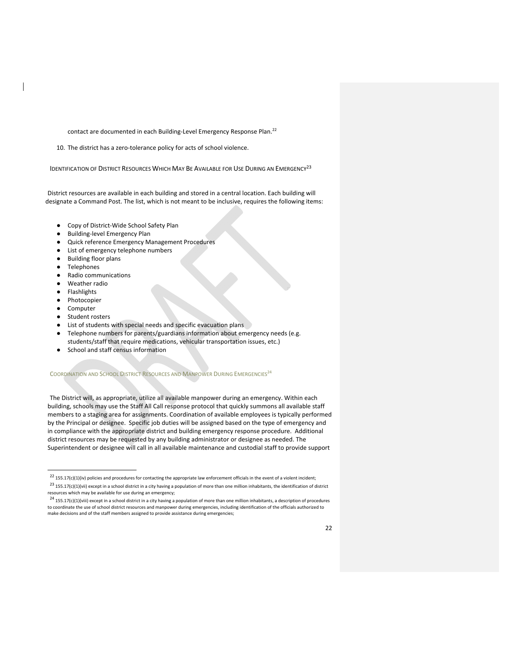contact are documented in each Building-Level Emergency Response Plan.<sup>22</sup>

10. The district has a zero-tolerance policy for acts of school violence.

IDENTIFICATION OF DISTRICT RESOURCES WHICH MAY BE AVAILABLE FOR USE DURING AN EMERGENCY<sup>23</sup>

District resources are available in each building and stored in a central location. Each building will designate a Command Post. The list, which is not meant to be inclusive, requires the following items:

- Copy of District-Wide School Safety Plan
- Building-level Emergency Plan
- Quick reference Emergency Management Procedures
- List of emergency telephone numbers
- **Building floor plans**
- **Telephones**
- Radio communications
- Weather radio
- **Flashlights**
- Photocopier
- Computer
- Student rosters
- List of students with special needs and specific evacuation plans
- Telephone numbers for parents/guardians information about emergency needs (e.g. students/staff that require medications, vehicular transportation issues, etc.)
- School and staff census information

#### COORDINATION AND SCHOOL DISTRICT RESOURCES AND MANPOWER DURING EMERGENCIES<sup>24</sup>

The District will, as appropriate, utilize all available manpower during an emergency. Within each building, schools may use the Staff All Call response protocol that quickly summons all available staff members to a staging area for assignments. Coordination of available employees is typically performed by the Principal or designee. Specific job duties will be assigned based on the type of emergency and in compliance with the appropriate district and building emergency response procedure. Additional district resources may be requested by any building administrator or designee as needed. The Superintendent or designee will call in all available maintenance and custodial staff to provide support

 $^{22}$  155.17(c)(1)(iv) policies and procedures for contacting the appropriate law enforcement officials in the event of a violent incident;

 $^{23}$  155.17(c)(1)(vii) except in a school district in a city having a population of more than one million inhabitants, the identification of district resources which may be available for use during an emergency;

 $^{24}$  155.17(c)(1)(viii) except in a school district in a city having a population of more than one million inhabitants, a description of procedures to coordinate the use of school district resources and manpower during emergencies, including identification of the officials authorized to make decisions and of the staff members assigned to provide assistance during emergencies;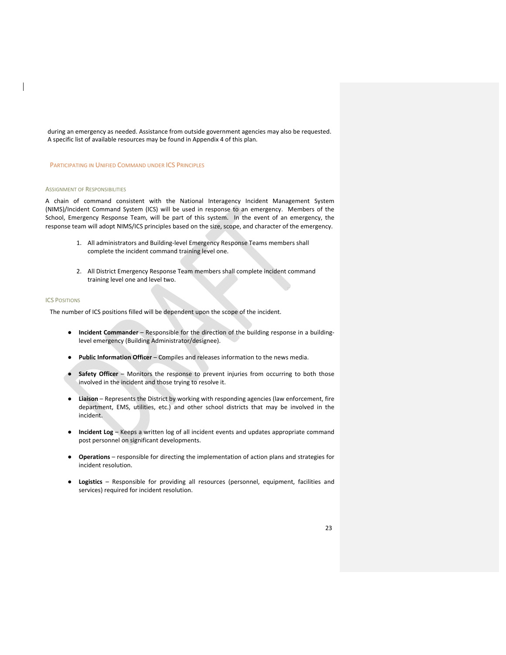during an emergency as needed. Assistance from outside government agencies may also be requested. A specific list of available resources may be found in Appendix 4 of this plan.

#### PARTICIPATING IN UNIFIED COMMAND UNDER ICS PRINCIPLES

#### ASSIGNMENT OF RESPONSIBILITIES

A chain of command consistent with the National Interagency Incident Management System (NIMS)/Incident Command System (ICS) will be used in response to an emergency. Members of the School, Emergency Response Team, will be part of this system. In the event of an emergency, the response team will adopt NIMS/ICS principles based on the size, scope, and character of the emergency.

- 1. All administrators and Building-level Emergency Response Teams members shall complete the incident command training level one.
- 2. All District Emergency Response Team members shall complete incident command training level one and level two.

#### ICS POSITIONS

The number of ICS positions filled will be dependent upon the scope of the incident.

- **Incident Commander** Responsible for the direction of the building response in a building‐ level emergency (Building Administrator/designee).
- **Public Information Officer** Compiles and releases information to the news media.
- **Safety Officer** Monitors the response to prevent injuries from occurring to both those involved in the incident and those trying to resolve it.
- Liaison Represents the District by working with responding agencies (law enforcement, fire department, EMS, utilities, etc.) and other school districts that may be involved in the incident.
- **Incident Log** Keeps a written log of all incident events and updates appropriate command post personnel on significant developments.
- **Operations** responsible for directing the implementation of action plans and strategies for incident resolution.
- **Logistics** Responsible for providing all resources (personnel, equipment, facilities and services) required for incident resolution.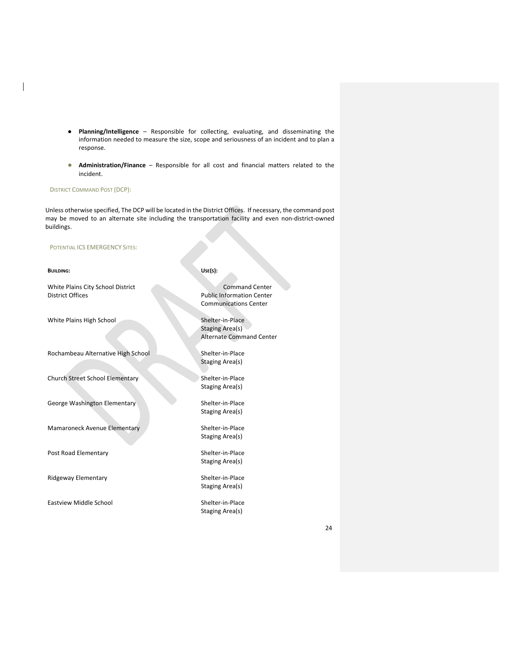- **Planning/Intelligence** Responsible for collecting, evaluating, and disseminating the information needed to measure the size, scope and seriousness of an incident and to plan a response.
- **Administration/Finance** Responsible for all cost and financial matters related to the incident.

## DISTRICT COMMAND POST (DCP):

Unless otherwise specified, The DCP will be located in the District Offices. If necessary, the command post may be moved to an alternate site including the transportation facility and even non-district-owned buildings.

## POTENTIAL ICS EMERGENCY SITES:

| <b>BUILDING:</b>                                      | Use(s):                                                                                   |
|-------------------------------------------------------|-------------------------------------------------------------------------------------------|
| White Plains City School District<br>District Offices | <b>Command Center</b><br><b>Public Information Center</b><br><b>Communications Center</b> |
| White Plains High School                              | Shelter-in-Place<br>Staging Area(s)<br><b>Alternate Command Center</b>                    |
| Rochambeau Alternative High School                    | Shelter-in-Place<br>Staging Area(s)                                                       |
| <b>Church Street School Elementary</b>                | Shelter-in-Place<br>Staging Area(s)                                                       |
| George Washington Elementary                          | Shelter-in-Place<br>Staging Area(s)                                                       |
| Mamaroneck Avenue Elementary                          | Shelter-in-Place<br>Staging Area(s)                                                       |
| Post Road Elementary                                  | Shelter-in-Place<br>Staging Area(s)                                                       |
| Ridgeway Elementary                                   | Shelter-in-Place<br>Staging Area(s)                                                       |
| <b>Eastview Middle School</b>                         | Shelter-in-Place<br>Staging Area(s)                                                       |

24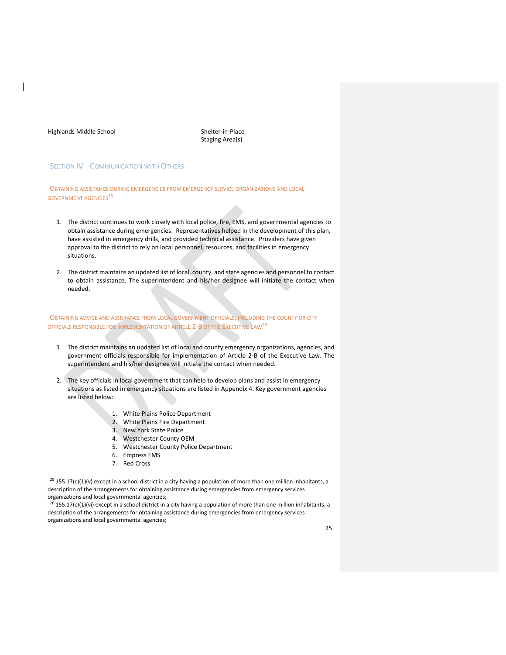Highlands Middle School Shelter‐in‐Place

Staging Area(s)

## **SECTION IV COMMUNICATION WITH OTHERS**

OBTAINING ASSISTANCE DURING EMERGENCIES FROM EMERGENCY SERVICE ORGANIZATIONS AND LOCAL GOVERNMENT AGENCIES<sup>25</sup>

- 1. The district continues to work closely with local police, fire, EMS, and governmental agencies to obtain assistance during emergencies. Representatives helped in the development of this plan, have assisted in emergency drills, and provided technical assistance. Providers have given approval to the district to rely on local personnel, resources, and facilities in emergency situations.
- 2. The district maintains an updated list of local, county, and state agencies and personnel to contact to obtain assistance. The superintendent and his/her designee will initiate the contact when needed.

OBTAINING ADVICE AND ASSISTANCE FROM LOCAL GOVERNMENT OFFICIALS, INCLUDING THE COUNTY OR CITY OFFICIALS RESPONSIBLE FOR IMPLEMENTATION OF ARTICLE 2‐B OF THE EXECUTIVE LAW26

- 1. The district maintains an updated list of local and county emergency organizations, agencies, and government officials responsible for implementation of Article 2‐B of the Executive Law. The superintendent and his/her designee will initiate the contact when needed.
- 2. The key officials in local government that can help to develop plans and assist in emergency situations as listed in emergency situations are listed in Appendix 4. Key government agencies are listed below:
	- 1. White Plains Police Department
	- 2. White Plains Fire Department
	- 3. New York State Police
	- 4. Westchester County OEM
	- 5. Westchester County Police Department
	- 6. Empress EMS
	- 7. Red Cross

 $25$  155.17(c)(1)(v) except in a school district in a city having a population of more than one million inhabitants, a description of the arrangements for obtaining assistance during emergencies from emergency services organizations and local governmental agencies;

 $^{26}$  155.17(c)(1)(vi) except in a school district in a city having a population of more than one million inhabitants, a description of the arrangements for obtaining assistance during emergencies from emergency services organizations and local governmental agencies;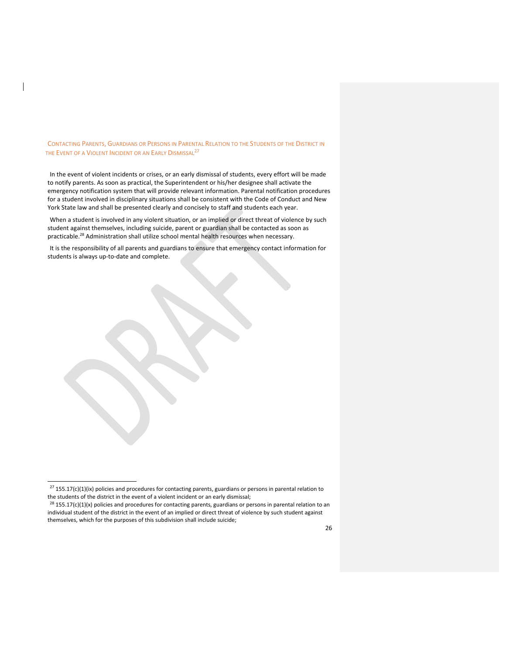CONTACTING PARENTS, GUARDIANS OR PERSONS IN PARENTAL RELATION TO THE STUDENTS OF THE DISTRICT IN THE EVENT OF A VIOLENT INCIDENT OR AN EARLY DISMISSAL<sup>27</sup>

In the event of violent incidents or crises, or an early dismissal of students, every effort will be made to notify parents. As soon as practical, the Superintendent or his/her designee shall activate the emergency notification system that will provide relevant information. Parental notification procedures for a student involved in disciplinary situations shall be consistent with the Code of Conduct and New York State law and shall be presented clearly and concisely to staff and students each year.

When a student is involved in any violent situation, or an implied or direct threat of violence by such student against themselves, including suicide, parent or guardian shall be contacted as soon as practicable.28 Administration shall utilize school mental health resources when necessary.

It is the responsibility of all parents and guardians to ensure that emergency contact information for students is always up-to-date and complete.

 $27$  155.17(c)(1)(ix) policies and procedures for contacting parents, guardians or persons in parental relation to the students of the district in the event of a violent incident or an early dismissal;

<sup>&</sup>lt;sup>28</sup> 155.17(c)(1)(x) policies and procedures for contacting parents, guardians or persons in parental relation to an individual student of the district in the event of an implied or direct threat of violence by such student against themselves, which for the purposes of this subdivision shall include suicide;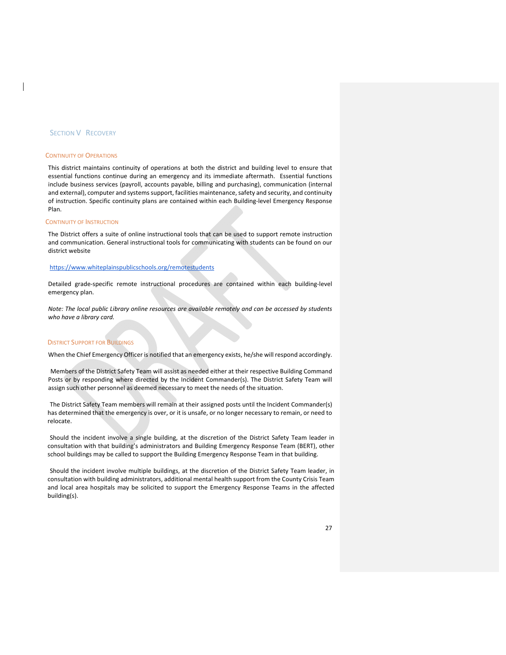#### **SECTION V RECOVERY**

#### CONTINUITY OF OPERATIONS

This district maintains continuity of operations at both the district and building level to ensure that essential functions continue during an emergency and its immediate aftermath. Essential functions include business services (payroll, accounts payable, billing and purchasing), communication (internal and external), computer and systems support, facilities maintenance, safety and security, and continuity of instruction. Specific continuity plans are contained within each Building‐level Emergency Response Plan.

#### CONTINUITY OF INSTRUCTION

The District offers a suite of online instructional tools that can be used to support remote instruction and communication. General instructional tools for communicating with students can be found on our district website

#### https://www.whiteplainspublicschools.org/remotestudents

Detailed grade‐specific remote instructional procedures are contained within each building‐level emergency plan.

*Note: The local public Library online resources are available remotely and can be accessed by students who have a library card.*

#### **DISTRICT SUPPORT FOR BUILDINGS**

When the Chief Emergency Officer is notified that an emergency exists, he/she will respond accordingly.

Members of the District Safety Team will assist as needed either at their respective Building Command Posts or by responding where directed by the Incident Commander(s). The District Safety Team will assign such other personnel as deemed necessary to meet the needs of the situation.

The District Safety Team members will remain at their assigned posts until the Incident Commander(s) has determined that the emergency is over, or it is unsafe, or no longer necessary to remain, or need to relocate.

Should the incident involve a single building, at the discretion of the District Safety Team leader in consultation with that building's administrators and Building Emergency Response Team (BERT), other school buildings may be called to support the Building Emergency Response Team in that building.

Should the incident involve multiple buildings, at the discretion of the District Safety Team leader, in consultation with building administrators, additional mental health support from the County Crisis Team and local area hospitals may be solicited to support the Emergency Response Teams in the affected building(s).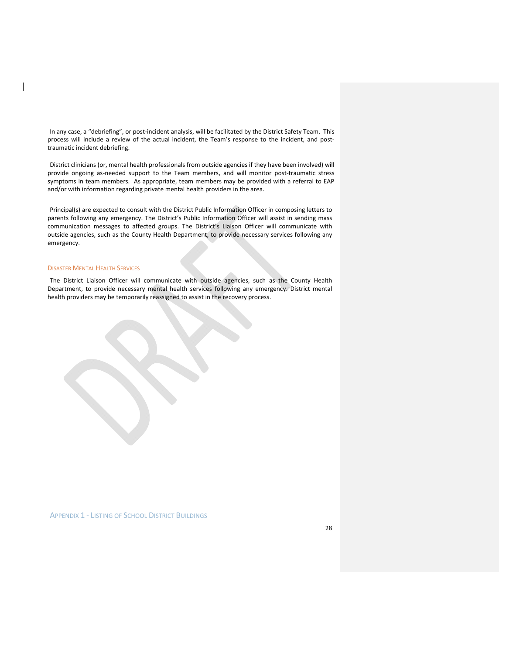In any case, a "debriefing", or post-incident analysis, will be facilitated by the District Safety Team. This process will include a review of the actual incident, the Team's response to the incident, and posttraumatic incident debriefing.

District clinicians (or, mental health professionals from outside agencies if they have been involved) will provide ongoing as-needed support to the Team members, and will monitor post-traumatic stress symptoms in team members. As appropriate, team members may be provided with a referral to EAP and/or with information regarding private mental health providers in the area.

Principal(s) are expected to consult with the District Public Information Officer in composing letters to parents following any emergency. The District's Public Information Officer will assist in sending mass communication messages to affected groups. The District's Liaison Officer will communicate with outside agencies, such as the County Health Department, to provide necessary services following any emergency.

#### DISASTER MENTAL HEALTH SERVICES

The District Liaison Officer will communicate with outside agencies, such as the County Health Department, to provide necessary mental health services following any emergency. District mental health providers may be temporarily reassigned to assist in the recovery process.



APPENDIX 1 ‐ LISTING OF SCHOOL DISTRICT BUILDINGS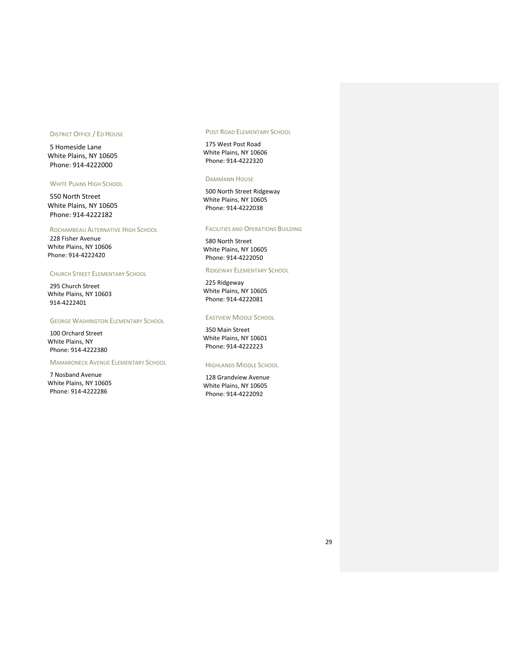## DISTRICT OFFICE / ED HOUSE

5 Homeside Lane White Plains, NY 10605 Phone: 914‐4222000

#### WHITE PLAINS HIGH SCHOOL

550 North Street White Plains, NY 10605 Phone: 914‐4222182

#### ROCHAMBEAU ALTERNATIVE HIGH SCHOOL

228 Fisher Avenue White Plains, NY 10606 Phone: 914‐4222420

## CHURCH STREET ELEMENTARY SCHOOL

295 Church Street White Plains, NY 10603 914‐4222401

#### GEORGE WASHINGTON ELEMENTARY SCHOOL

100 Orchard Street White Plains, NY Phone: 914‐4222380

## MAMARONECK AVENUE ELEMENTARY SCHOOL

7 Nosband Avenue White Plains, NY 10605 Phone: 914‐4222286

## POST ROAD ELEMENTARY SCHOOL

175 West Post Road White Plains, NY 10606 Phone: 914‐4222320

#### DAMMANN HOUSE

500 North Street Ridgeway White Plains, NY 10605 Phone: 914‐4222038

#### FACILITIES AND OPERATIONS BUILDING

580 North Street White Plains, NY 10605 Phone: 914‐4222050

#### RIDGEWAY ELEMENTARY SCHOOL

225 Ridgeway White Plains, NY 10605 Phone: 914‐4222081

## EASTVIEW MIDDLE SCHOOL

350 Main Street White Plains, NY 10601 Phone: 914‐4222223

#### HIGHLANDS MIDDLE SCHOOL

128 Grandview Avenue White Plains, NY 10605 Phone: 914‐4222092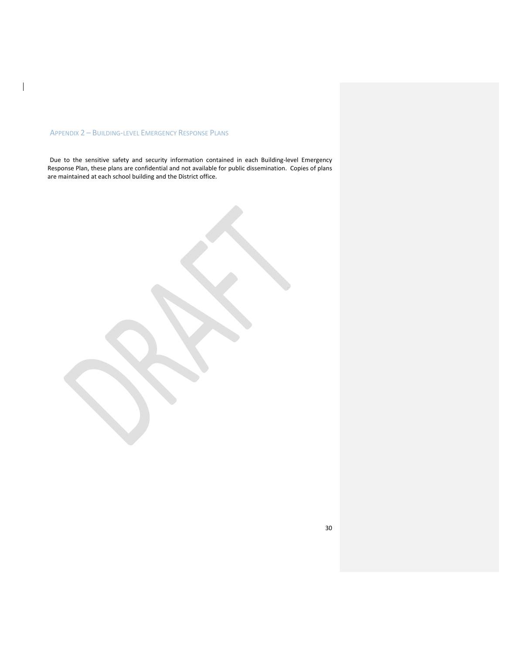## APPENDIX 2 – BUILDING‐LEVEL EMERGENCY RESPONSE PLANS

 $\mathbf I$ 

Due to the sensitive safety and security information contained in each Building-level Emergency Response Plan, these plans are confidential and not available for public dissemination. Copies of plans are maintained at each school building and the District office.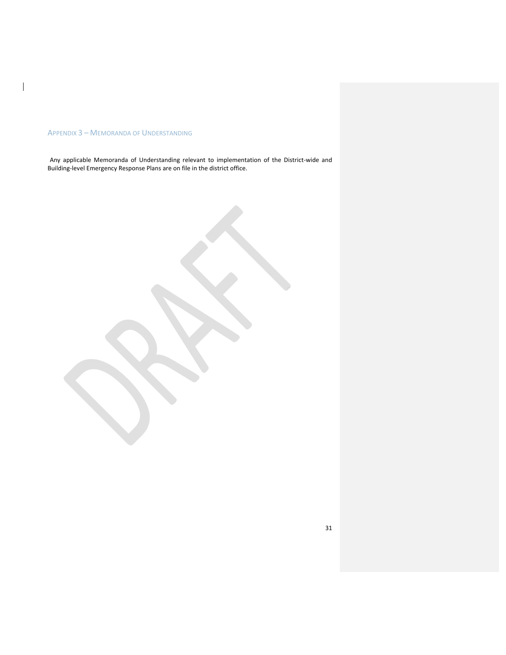## APPENDIX 3 – MEMORANDA OF UNDERSTANDING

 $\mathbf I$ 

Any applicable Memoranda of Understanding relevant to implementation of the District‐wide and Building‐level Emergency Response Plans are on file in the district office.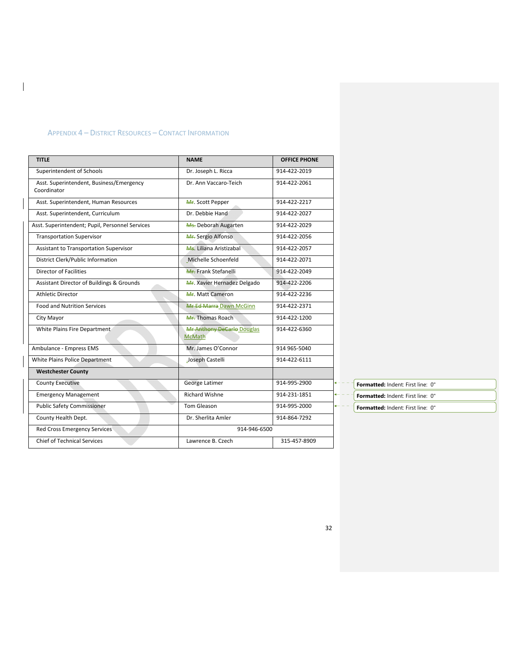## APPENDIX 4 – DISTRICT RESOURCES – CONTACT INFORMATION

 $\begin{array}{c} \hline \end{array}$ 

| <b>TITLE</b>                                            | <b>NAME</b>                                 | <b>OFFICE PHONE</b> |  |
|---------------------------------------------------------|---------------------------------------------|---------------------|--|
| Superintendent of Schools                               | Dr. Joseph L. Ricca                         | 914-422-2019        |  |
| Asst. Superintendent, Business/Emergency<br>Coordinator | Dr. Ann Vaccaro-Teich                       | 914-422-2061        |  |
| Asst. Superintendent, Human Resources                   | Mr. Scott Pepper                            | 914-422-2217        |  |
| Asst. Superintendent, Curriculum                        | Dr. Debbie Hand                             | 914-422-2027        |  |
| Asst. Superintendent; Pupil, Personnel Services         | Ms. Deborah Augarten                        | 914-422-2029        |  |
| <b>Transportation Supervisor</b>                        | Mr. Sergio Alfonso                          | 914-422-2056        |  |
| Assistant to Transportation Supervisor                  | Ms. Liliana Aristizabal                     | 914-422-2057        |  |
| District Clerk/Public Information                       | Michelle Schoenfeld                         | 914-422-2071        |  |
| Director of Facilities                                  | Mr. Frank Stefanelli                        | 914-422-2049        |  |
| Assistant Director of Buildings & Grounds               | Mr. Xavier Hernadez Delgado                 | 914-422-2206        |  |
| <b>Athletic Director</b>                                | Mr. Matt Cameron                            | 914-422-2236        |  |
| <b>Food and Nutrition Services</b>                      | Mr Ed Marra Dawn McGinn                     | 914-422-2371        |  |
| City Mayor                                              | Mr. Thomas Roach                            | 914-422-1200        |  |
| White Plains Fire Department                            | Mr Anthony DeCarlo Douglas<br><b>McMath</b> | 914-422-6360        |  |
| Ambulance - Empress EMS                                 | Mr. James O'Connor                          | 914 965-5040        |  |
| White Plains Police Department                          | Joseph Castelli                             | 914-422-6111        |  |
| <b>Westchester County</b>                               |                                             |                     |  |
| <b>County Executive</b>                                 | <b>George Latimer</b>                       | 914-995-2900        |  |
| <b>Emergency Management</b>                             | <b>Richard Wishne</b>                       | 914-231-1851        |  |
| <b>Public Safety Commissioner</b>                       | <b>Tom Gleason</b>                          | 914-995-2000        |  |
| County Health Dept.                                     | Dr. Sherlita Amler                          | 914-864-7292        |  |
| Red Cross Emergency Services                            |                                             | 914-946-6500        |  |
| <b>Chief of Technical Services</b>                      | Lawrence B. Czech                           | 315-457-8909        |  |

**Formatted:** Indent: First line: 0"

**Formatted:** Indent: First line: 0"

**Formatted:** Indent: First line: 0"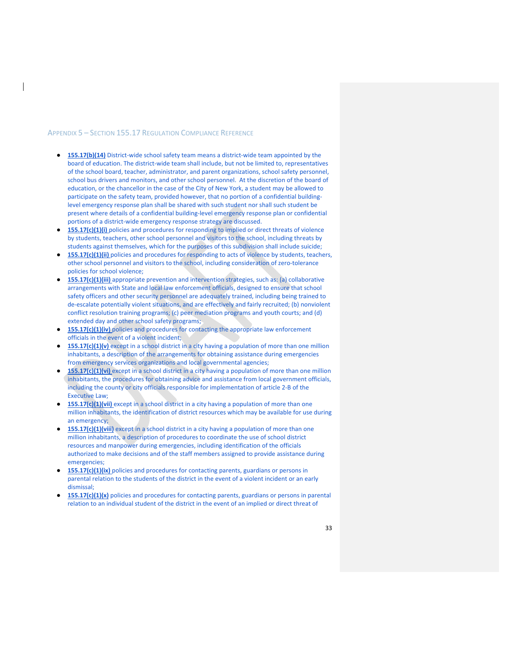#### APPENDIX 5 – SECTION 155.17 REGULATION COMPLIANCE REFERENCE

- **155.17(b)(14)** District-wide school safety team means a district-wide team appointed by the board of education. The district-wide team shall include, but not be limited to, representatives of the school board, teacher, administrator, and parent organizations, school safety personnel, school bus drivers and monitors, and other school personnel. At the discretion of the board of education, or the chancellor in the case of the City of New York, a student may be allowed to participate on the safety team, provided however, that no portion of a confidential buildinglevel emergency response plan shall be shared with such student nor shall such student be present where details of a confidential building-level emergency response plan or confidential portions of a district-wide emergency response strategy are discussed.
- 155.17(c)(1)(i) policies and procedures for responding to implied or direct threats of violence by students, teachers, other school personnel and visitors to the school, including threats by students against themselves, which for the purposes of this subdivision shall include suicide;
- **155.17(c)(1)(ii)** policies and procedures for responding to acts of violence by students, teachers, other school personnel and visitors to the school, including consideration of zero-tolerance policies for school violence;
- **155.17(c)(1)(iii)** appropriate prevention and intervention strategies, such as: (a) collaborative arrangements with State and local law enforcement officials, designed to ensure that school safety officers and other security personnel are adequately trained, including being trained to de‐escalate potentially violent situations, and are effectively and fairly recruited; (b) nonviolent conflict resolution training programs; (c) peer mediation programs and youth courts; and (d) extended day and other school safety programs;
- 155.17(c)(1)(iv) policies and procedures for contacting the appropriate law enforcement officials in the event of a violent incident;
- **155.17(c)(1)(v)** except in a school district in a city having a population of more than one million inhabitants, a description of the arrangements for obtaining assistance during emergencies from emergency services organizations and local governmental agencies;
- **155.17(c)(1)(vi)** except in a school district in a city having a population of more than one million inhabitants, the procedures for obtaining advice and assistance from local government officials, including the county or city officials responsible for implementation of article 2‐B of the Executive Law;
- **155.17(c)(1)(vii)** except in a school district in a city having a population of more than one million inhabitants, the identification of district resources which may be available for use during an emergency;
- **155.17(c)(1)(viii)** except in a school district in a city having a population of more than one million inhabitants, a description of procedures to coordinate the use of school district resources and manpower during emergencies, including identification of the officials authorized to make decisions and of the staff members assigned to provide assistance during emergencies;
- 155.17(c)(1)(ix) policies and procedures for contacting parents, guardians or persons in parental relation to the students of the district in the event of a violent incident or an early dismissal;
- 155.17(c)(1)(x) policies and procedures for contacting parents, guardians or persons in parental relation to an individual student of the district in the event of an implied or direct threat of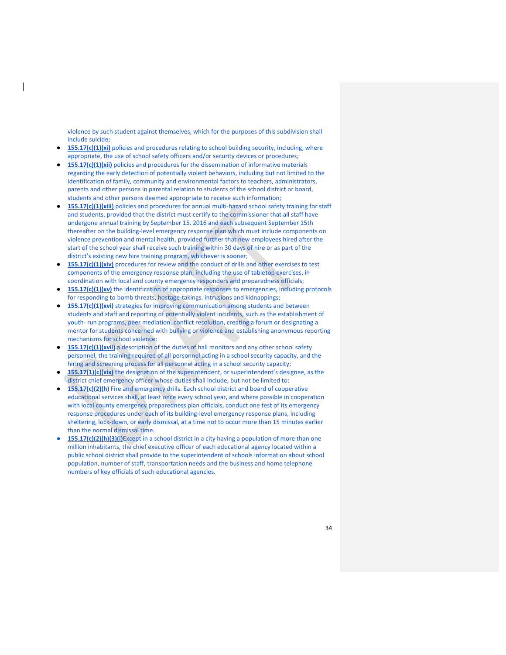violence by such student against themselves, which for the purposes of this subdivision shall include suicide;

- 155.17(c)(1)(xi) policies and procedures relating to school building security, including, where appropriate, the use of school safety officers and/or security devices or procedures;
- 155.17(c)(1)(xii) policies and procedures for the dissemination of informative materials regarding the early detection of potentially violent behaviors, including but not limited to the identification of family, community and environmental factors to teachers, administrators, parents and other persons in parental relation to students of the school district or board, students and other persons deemed appropriate to receive such information;
- 155.17(c)(1)(xiii) policies and procedures for annual multi-hazard school safety training for staff and students, provided that the district must certify to the commissioner that all staff have undergone annual training by September 15, 2016 and each subsequent September 15th thereafter on the building-level emergency response plan which must include components on violence prevention and mental health, provided further that new employees hired after the start of the school year shall receive such training within 30 days of hire or as part of the district's existing new hire training program, whichever is sooner;
- **155.17(c)(1)(xiv)** procedures for review and the conduct of drills and other exercises to test components of the emergency response plan, including the use of tabletop exercises, in coordination with local and county emergency responders and preparedness officials;
- 155.17(c)(1)(xv) the identification of appropriate responses to emergencies, including protocols for responding to bomb threats, hostage-takings, intrusions and kidnappings;
- 155.17(c)(1)(xvi) strategies for improving communication among students and between students and staff and reporting of potentially violent incidents, such as the establishment of youth‐ run programs, peer mediation, conflict resolution, creating a forum or designating a mentor for students concerned with bullying or violence and establishing anonymous reporting mechanisms for school violence;
- **155.17(c)(1)(xvii)** a description of the duties of hall monitors and any other school safety personnel, the training required of all personnel acting in a school security capacity, and the hiring and screening process for all personnel acting in a school security capacity;
- 155.17(1)(c)(xix) the designation of the superintendent, or superintendent's designee, as the district chief emergency officer whose duties shall include, but not be limited to:
- 155.17(c)(2)(h) Fire and emergency drills. Each school district and board of cooperative educational services shall, at least once every school year, and where possible in cooperation with local county emergency preparedness plan officials, conduct one test of its emergency response procedures under each of its building‐level emergency response plans, including sheltering, lock-down, or early dismissal, at a time not to occur more than 15 minutes earlier than the normal dismissal time.
- 155.17(c)(2)(h)(3)(i)Except in a school district in a city having a population of more than one million inhabitants, the chief executive officer of each educational agency located within a public school district shall provide to the superintendent of schools information about school population, number of staff, transportation needs and the business and home telephone numbers of key officials of such educational agencies.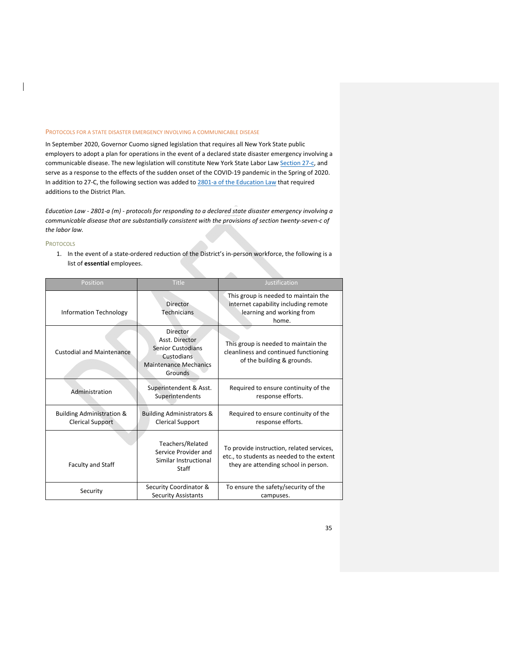#### PROTOCOLS FOR A STATE DISASTER EMERGENCY INVOLVING A COMMUNICABLE DISEASE

In September 2020, Governor Cuomo signed legislation that requires all New York State public employers to adopt a plan for operations in the event of a declared state disaster emergency involving a communicable disease. The new legislation will constitute New York State Labor Law Section 27-c, and serve as a response to the effects of the sudden onset of the COVID‐19 pandemic in the Spring of 2020. In addition to 27-C, the following section was added to 2801-a of the Education Law that required additions to the District Plan.

Education Law - 2801-a (m) - protocols for responding to a declared state disaster emergency involving a *communicable disease that are substantially consistent with the provisions of section twenty‐seven‐c of the labor law.*

#### **PROTOCOLS**

 $\overline{\phantom{a}}$ 

1. In the event of a state‐ordered reduction of the District's in‐person workforce, the following is a list of **essential** employees.

dia.

| Position                                                        | <b>Title</b>                                                                                                    | Justification                                                                                                                  |
|-----------------------------------------------------------------|-----------------------------------------------------------------------------------------------------------------|--------------------------------------------------------------------------------------------------------------------------------|
| <b>Information Technology</b>                                   | Director<br><b>Technicians</b>                                                                                  | This group is needed to maintain the<br>internet capability including remote<br>learning and working from<br>home.             |
| <b>Custodial and Maintenance</b>                                | Director<br>Asst. Director<br><b>Senior Custodians</b><br>Custodians<br><b>Maintenance Mechanics</b><br>Grounds | This group is needed to maintain the<br>cleanliness and continued functioning<br>of the building & grounds.                    |
| Administration                                                  | Superintendent & Asst.<br>Superintendents                                                                       | Required to ensure continuity of the<br>response efforts.                                                                      |
| <b>Building Administration &amp;</b><br><b>Clerical Support</b> | <b>Building Administrators &amp;</b><br><b>Clerical Support</b>                                                 | Required to ensure continuity of the<br>response efforts.                                                                      |
| Faculty and Staff                                               | Teachers/Related<br>Service Provider and<br>Similar Instructional<br>Staff                                      | To provide instruction, related services,<br>etc., to students as needed to the extent<br>they are attending school in person. |
| Security                                                        | Security Coordinator &<br><b>Security Assistants</b>                                                            | To ensure the safety/security of the<br>campuses.                                                                              |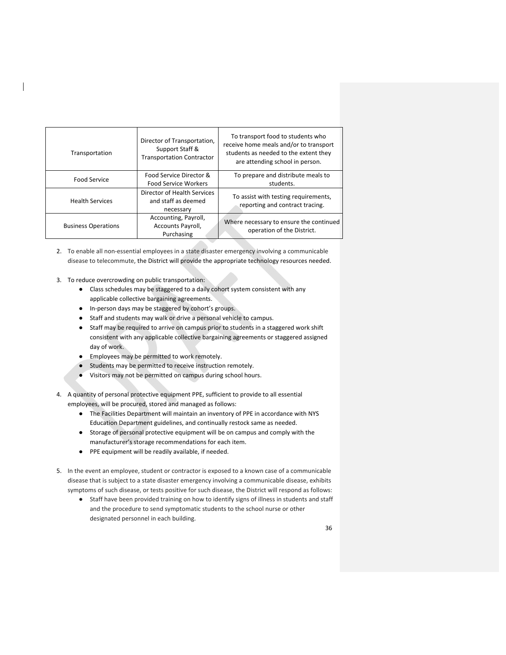| Transportation             | Director of Transportation,<br>Support Staff &<br><b>Transportation Contractor</b> | To transport food to students who<br>receive home meals and/or to transport<br>students as needed to the extent they<br>are attending school in person. |
|----------------------------|------------------------------------------------------------------------------------|---------------------------------------------------------------------------------------------------------------------------------------------------------|
| Food Service               | Food Service Director &<br><b>Food Service Workers</b>                             | To prepare and distribute meals to<br>students.                                                                                                         |
| <b>Health Services</b>     | Director of Health Services<br>and staff as deemed<br>necessary                    | To assist with testing requirements,<br>reporting and contract tracing.                                                                                 |
| <b>Business Operations</b> | Accounting, Payroll,<br>Accounts Payroll,<br>Purchasing                            | Where necessary to ensure the continued<br>operation of the District.                                                                                   |

- 2. To enable all non-essential employees in a state disaster emergency involving a communicable disease to telecommute, the District will provide the appropriate technology resources needed.
- 3. To reduce overcrowding on public transportation:
	- Class schedules may be staggered to a daily cohort system consistent with any applicable collective bargaining agreements.
	- In‐person days may be staggered by cohort's groups.
	- Staff and students may walk or drive a personal vehicle to campus.
	- Staff may be required to arrive on campus prior to students in a staggered work shift consistent with any applicable collective bargaining agreements or staggered assigned day of work.
	- Employees may be permitted to work remotely.
	- Students may be permitted to receive instruction remotely.
	- Visitors may not be permitted on campus during school hours.
- 4. A quantity of personal protective equipment PPE, sufficient to provide to all essential employees, will be procured, stored and managed as follows:
	- The Facilities Department will maintain an inventory of PPE in accordance with NYS Education Department guidelines, and continually restock same as needed.
	- Storage of personal protective equipment will be on campus and comply with the manufacturer's storage recommendations for each item.
	- PPE equipment will be readily available, if needed.
- 5. In the event an employee, student or contractor is exposed to a known case of a communicable disease that is subject to a state disaster emergency involving a communicable disease, exhibits symptoms of such disease, or tests positive for such disease, the District will respond as follows:
	- Staff have been provided training on how to identify signs of illness in students and staff and the procedure to send symptomatic students to the school nurse or other designated personnel in each building.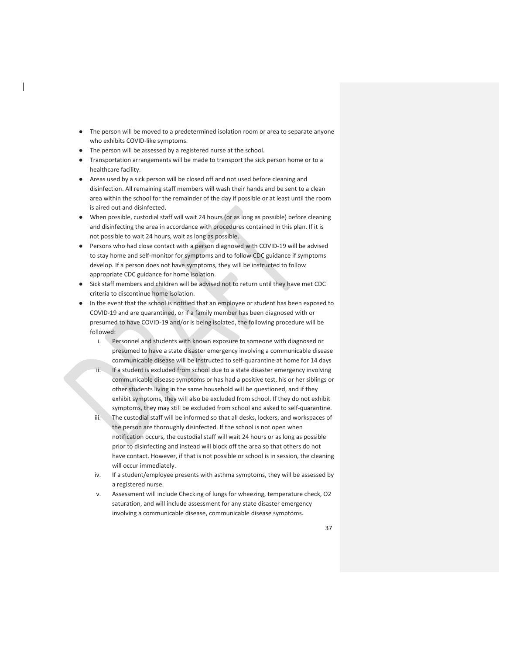- The person will be moved to a predetermined isolation room or area to separate anyone who exhibits COVID‐like symptoms.
- The person will be assessed by a registered nurse at the school.
- Transportation arrangements will be made to transport the sick person home or to a healthcare facility.
- Areas used by a sick person will be closed off and not used before cleaning and disinfection. All remaining staff members will wash their hands and be sent to a clean area within the school for the remainder of the day if possible or at least until the room is aired out and disinfected.
- When possible, custodial staff will wait 24 hours (or as long as possible) before cleaning and disinfecting the area in accordance with procedures contained in this plan. If it is not possible to wait 24 hours, wait as long as possible.
- Persons who had close contact with a person diagnosed with COVID-19 will be advised to stay home and self-monitor for symptoms and to follow CDC guidance if symptoms develop. If a person does not have symptoms, they will be instructed to follow appropriate CDC guidance for home isolation.
- Sick staff members and children will be advised not to return until they have met CDC criteria to discontinue home isolation.
- In the event that the school is notified that an employee or student has been exposed to COVID‐19 and are quarantined, or if a family member has been diagnosed with or presumed to have COVID‐19 and/or is being isolated, the following procedure will be followed:
	- i. Personnel and students with known exposure to someone with diagnosed or presumed to have a state disaster emergency involving a communicable disease communicable disease will be instructed to self‐quarantine at home for 14 days
	- ii. If a student is excluded from school due to a state disaster emergency involving communicable disease symptoms or has had a positive test, his or her siblings or other students living in the same household will be questioned, and if they exhibit symptoms, they will also be excluded from school. If they do not exhibit symptoms, they may still be excluded from school and asked to self-quarantine.
	- iii. The custodial staff will be informed so that all desks, lockers, and workspaces of the person are thoroughly disinfected. If the school is not open when notification occurs, the custodial staff will wait 24 hours or as long as possible prior to disinfecting and instead will block off the area so that others do not have contact. However, if that is not possible or school is in session, the cleaning will occur immediately.
	- iv. If a student/employee presents with asthma symptoms, they will be assessed by a registered nurse.
	- v. Assessment will include Checking of lungs for wheezing, temperature check, O2 saturation, and will include assessment for any state disaster emergency involving a communicable disease, communicable disease symptoms.